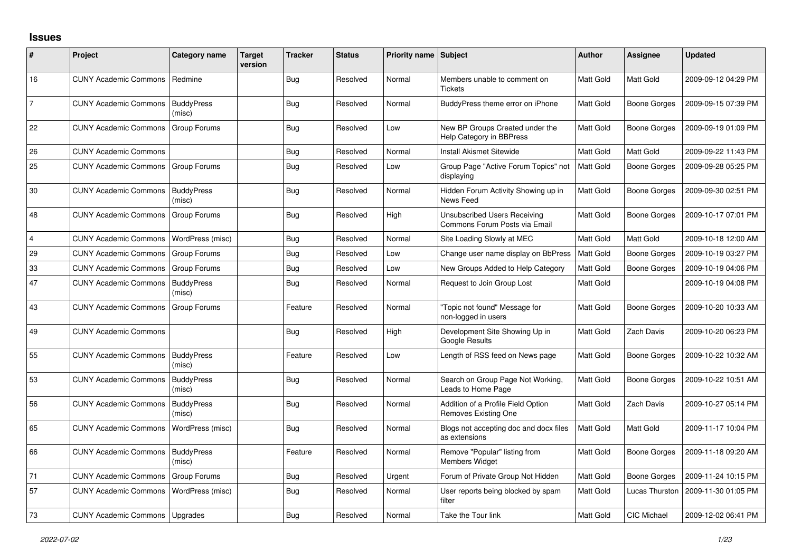## **Issues**

| ∦              | Project                      | Category name               | <b>Target</b><br>version | <b>Tracker</b> | <b>Status</b> | Priority name Subject |                                                                      | <b>Author</b>    | Assignee            | <b>Updated</b>      |
|----------------|------------------------------|-----------------------------|--------------------------|----------------|---------------|-----------------------|----------------------------------------------------------------------|------------------|---------------------|---------------------|
| 16             | <b>CUNY Academic Commons</b> | Redmine                     |                          | <b>Bug</b>     | Resolved      | Normal                | Members unable to comment on<br><b>Tickets</b>                       | Matt Gold        | Matt Gold           | 2009-09-12 04:29 PM |
| 7              | <b>CUNY Academic Commons</b> | <b>BuddyPress</b><br>(misc) |                          | <b>Bug</b>     | Resolved      | Normal                | BuddyPress theme error on iPhone                                     | Matt Gold        | Boone Gorges        | 2009-09-15 07:39 PM |
| 22             | <b>CUNY Academic Commons</b> | Group Forums                |                          | <b>Bug</b>     | Resolved      | Low                   | New BP Groups Created under the<br>Help Category in BBPress          | Matt Gold        | Boone Gorges        | 2009-09-19 01:09 PM |
| 26             | <b>CUNY Academic Commons</b> |                             |                          | Bug            | Resolved      | Normal                | Install Akismet Sitewide                                             | Matt Gold        | Matt Gold           | 2009-09-22 11:43 PM |
| 25             | <b>CUNY Academic Commons</b> | Group Forums                |                          | Bug            | Resolved      | Low                   | Group Page "Active Forum Topics" not<br>displaying                   | <b>Matt Gold</b> | Boone Gorges        | 2009-09-28 05:25 PM |
| 30             | <b>CUNY Academic Commons</b> | <b>BuddyPress</b><br>(misc) |                          | <b>Bug</b>     | Resolved      | Normal                | Hidden Forum Activity Showing up in<br>News Feed                     | Matt Gold        | <b>Boone Gorges</b> | 2009-09-30 02:51 PM |
| 48             | <b>CUNY Academic Commons</b> | Group Forums                |                          | <b>Bug</b>     | Resolved      | High                  | <b>Unsubscribed Users Receiving</b><br>Commons Forum Posts via Email | Matt Gold        | Boone Gorges        | 2009-10-17 07:01 PM |
| $\overline{4}$ | <b>CUNY Academic Commons</b> | WordPress (misc)            |                          | <b>Bug</b>     | Resolved      | Normal                | Site Loading Slowly at MEC                                           | Matt Gold        | Matt Gold           | 2009-10-18 12:00 AM |
| 29             | <b>CUNY Academic Commons</b> | Group Forums                |                          | <b>Bug</b>     | Resolved      | Low                   | Change user name display on BbPress                                  | Matt Gold        | <b>Boone Gorges</b> | 2009-10-19 03:27 PM |
| 33             | <b>CUNY Academic Commons</b> | Group Forums                |                          | <b>Bug</b>     | Resolved      | Low                   | New Groups Added to Help Category                                    | Matt Gold        | Boone Gorges        | 2009-10-19 04:06 PM |
| 47             | <b>CUNY Academic Commons</b> | <b>BuddyPress</b><br>(misc) |                          | <b>Bug</b>     | Resolved      | Normal                | Request to Join Group Lost                                           | Matt Gold        |                     | 2009-10-19 04:08 PM |
| 43             | <b>CUNY Academic Commons</b> | <b>Group Forums</b>         |                          | Feature        | Resolved      | Normal                | "Topic not found" Message for<br>non-logged in users                 | Matt Gold        | <b>Boone Gorges</b> | 2009-10-20 10:33 AM |
| 49             | <b>CUNY Academic Commons</b> |                             |                          | <b>Bug</b>     | Resolved      | High                  | Development Site Showing Up in<br><b>Google Results</b>              | Matt Gold        | Zach Davis          | 2009-10-20 06:23 PM |
| 55             | <b>CUNY Academic Commons</b> | <b>BuddyPress</b><br>(misc) |                          | Feature        | Resolved      | Low                   | Length of RSS feed on News page                                      | Matt Gold        | Boone Gorges        | 2009-10-22 10:32 AM |
| 53             | <b>CUNY Academic Commons</b> | <b>BuddyPress</b><br>(misc) |                          | <b>Bug</b>     | Resolved      | Normal                | Search on Group Page Not Working,<br>Leads to Home Page              | Matt Gold        | Boone Gorges        | 2009-10-22 10:51 AM |
| 56             | <b>CUNY Academic Commons</b> | <b>BuddyPress</b><br>(misc) |                          | Bug            | Resolved      | Normal                | Addition of a Profile Field Option<br><b>Removes Existing One</b>    | Matt Gold        | Zach Davis          | 2009-10-27 05:14 PM |
| 65             | <b>CUNY Academic Commons</b> | WordPress (misc)            |                          | Bug            | Resolved      | Normal                | Blogs not accepting doc and docx files<br>as extensions              | Matt Gold        | Matt Gold           | 2009-11-17 10:04 PM |
| 66             | <b>CUNY Academic Commons</b> | <b>BuddyPress</b><br>(misc) |                          | Feature        | Resolved      | Normal                | Remove "Popular" listing from<br><b>Members Widget</b>               | Matt Gold        | Boone Gorges        | 2009-11-18 09:20 AM |
| 71             | <b>CUNY Academic Commons</b> | Group Forums                |                          | Bug            | Resolved      | Urgent                | Forum of Private Group Not Hidden                                    | Matt Gold        | <b>Boone Gorges</b> | 2009-11-24 10:15 PM |
| 57             | <b>CUNY Academic Commons</b> | WordPress (misc)            |                          | Bug            | Resolved      | Normal                | User reports being blocked by spam<br>filter                         | Matt Gold        | Lucas Thurston      | 2009-11-30 01:05 PM |
| 73             | <b>CUNY Academic Commons</b> | Upgrades                    |                          | <b>Bug</b>     | Resolved      | Normal                | Take the Tour link                                                   | Matt Gold        | <b>CIC Michael</b>  | 2009-12-02 06:41 PM |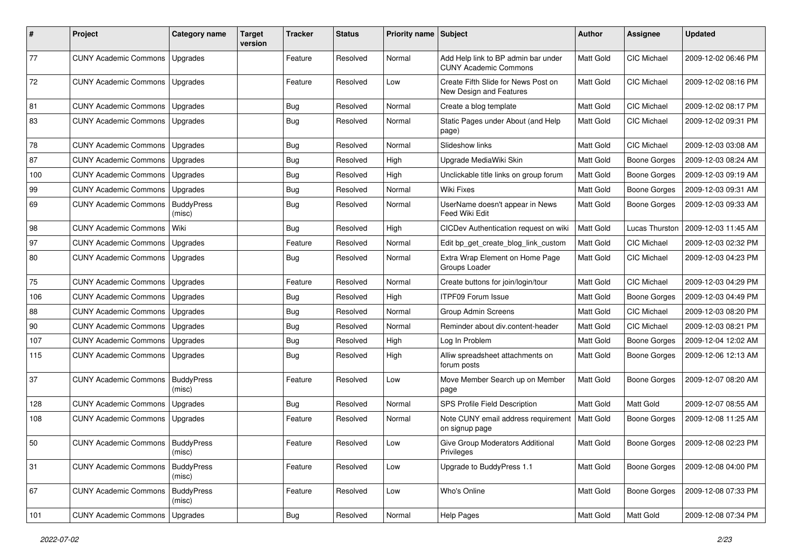| ∦   | Project                                   | Category name               | <b>Target</b><br>version | <b>Tracker</b> | <b>Status</b> | Priority name Subject |                                                                     | <b>Author</b> | <b>Assignee</b>     | <b>Updated</b>      |
|-----|-------------------------------------------|-----------------------------|--------------------------|----------------|---------------|-----------------------|---------------------------------------------------------------------|---------------|---------------------|---------------------|
| 77  | <b>CUNY Academic Commons</b>              | Upgrades                    |                          | Feature        | Resolved      | Normal                | Add Help link to BP admin bar under<br><b>CUNY Academic Commons</b> | Matt Gold     | CIC Michael         | 2009-12-02 06:46 PM |
| 72  | <b>CUNY Academic Commons</b>              | Upgrades                    |                          | Feature        | Resolved      | Low                   | Create Fifth Slide for News Post on<br>New Design and Features      | Matt Gold     | <b>CIC Michael</b>  | 2009-12-02 08:16 PM |
| 81  | <b>CUNY Academic Commons</b>              | Upgrades                    |                          | <b>Bug</b>     | Resolved      | Normal                | Create a blog template                                              | Matt Gold     | <b>CIC Michael</b>  | 2009-12-02 08:17 PM |
| 83  | <b>CUNY Academic Commons</b>              | <b>Upgrades</b>             |                          | Bug            | Resolved      | Normal                | Static Pages under About (and Help<br>page)                         | Matt Gold     | CIC Michael         | 2009-12-02 09:31 PM |
| 78  | <b>CUNY Academic Commons</b>              | Upgrades                    |                          | <b>Bug</b>     | Resolved      | Normal                | Slideshow links                                                     | Matt Gold     | CIC Michael         | 2009-12-03 03:08 AM |
| 87  | <b>CUNY Academic Commons</b>              | Upgrades                    |                          | <b>Bug</b>     | Resolved      | High                  | Upgrade MediaWiki Skin                                              | Matt Gold     | <b>Boone Gorges</b> | 2009-12-03 08:24 AM |
| 100 | <b>CUNY Academic Commons</b>              | Upgrades                    |                          | <b>Bug</b>     | Resolved      | High                  | Unclickable title links on group forum                              | Matt Gold     | <b>Boone Gorges</b> | 2009-12-03 09:19 AM |
| 99  | <b>CUNY Academic Commons</b>              | Upgrades                    |                          | <b>Bug</b>     | Resolved      | Normal                | <b>Wiki Fixes</b>                                                   | Matt Gold     | Boone Gorges        | 2009-12-03 09:31 AM |
| 69  | <b>CUNY Academic Commons</b>              | <b>BuddyPress</b><br>(misc) |                          | <b>Bug</b>     | Resolved      | Normal                | UserName doesn't appear in News<br>Feed Wiki Edit                   | Matt Gold     | <b>Boone Gorges</b> | 2009-12-03 09:33 AM |
| 98  | <b>CUNY Academic Commons</b>              | Wiki                        |                          | <b>Bug</b>     | Resolved      | High                  | CICDev Authentication request on wiki                               | Matt Gold     | Lucas Thurston      | 2009-12-03 11:45 AM |
| 97  | <b>CUNY Academic Commons</b>              | Upgrades                    |                          | Feature        | Resolved      | Normal                | Edit bp_get_create_blog_link_custom                                 | Matt Gold     | CIC Michael         | 2009-12-03 02:32 PM |
| 80  | <b>CUNY Academic Commons</b>              | Upgrades                    |                          | <b>Bug</b>     | Resolved      | Normal                | Extra Wrap Element on Home Page<br>Groups Loader                    | Matt Gold     | CIC Michael         | 2009-12-03 04:23 PM |
| 75  | <b>CUNY Academic Commons</b>              | Upgrades                    |                          | Feature        | Resolved      | Normal                | Create buttons for join/login/tour                                  | Matt Gold     | CIC Michael         | 2009-12-03 04:29 PM |
| 106 | <b>CUNY Academic Commons</b>              | Upgrades                    |                          | <b>Bug</b>     | Resolved      | High                  | <b>ITPF09 Forum Issue</b>                                           | Matt Gold     | <b>Boone Gorges</b> | 2009-12-03 04:49 PM |
| 88  | <b>CUNY Academic Commons</b>              | Upgrades                    |                          | <b>Bug</b>     | Resolved      | Normal                | <b>Group Admin Screens</b>                                          | Matt Gold     | CIC Michael         | 2009-12-03 08:20 PM |
| 90  | <b>CUNY Academic Commons</b>              | Upgrades                    |                          | <b>Bug</b>     | Resolved      | Normal                | Reminder about div.content-header                                   | Matt Gold     | CIC Michael         | 2009-12-03 08:21 PM |
| 107 | <b>CUNY Academic Commons</b>              | Upgrades                    |                          | <b>Bug</b>     | Resolved      | High                  | Log In Problem                                                      | Matt Gold     | <b>Boone Gorges</b> | 2009-12-04 12:02 AM |
| 115 | <b>CUNY Academic Commons</b>              | Upgrades                    |                          | <b>Bug</b>     | Resolved      | High                  | Alliw spreadsheet attachments on<br>forum posts                     | Matt Gold     | <b>Boone Gorges</b> | 2009-12-06 12:13 AM |
| 37  | <b>CUNY Academic Commons</b>              | <b>BuddyPress</b><br>(misc) |                          | Feature        | Resolved      | Low                   | Move Member Search up on Member<br>page                             | Matt Gold     | Boone Gorges        | 2009-12-07 08:20 AM |
| 128 | <b>CUNY Academic Commons</b>              | Upgrades                    |                          | <b>Bug</b>     | Resolved      | Normal                | SPS Profile Field Description                                       | Matt Gold     | Matt Gold           | 2009-12-07 08:55 AM |
| 108 | <b>CUNY Academic Commons</b>              | Upgrades                    |                          | Feature        | Resolved      | Normal                | Note CUNY email address requirement<br>on signup page               | Matt Gold     | Boone Gorges        | 2009-12-08 11:25 AM |
| 50  | <b>CUNY Academic Commons   BuddvPress</b> | (misc)                      |                          | Feature        | Resolved      | Low                   | Give Group Moderators Additional<br>Privileges                      | Matt Gold     | Boone Gorges        | 2009-12-08 02:23 PM |
| 31  | <b>CUNY Academic Commons</b>              | <b>BuddyPress</b><br>(misc) |                          | Feature        | Resolved      | Low                   | Upgrade to BuddyPress 1.1                                           | Matt Gold     | Boone Gorges        | 2009-12-08 04:00 PM |
| 67  | <b>CUNY Academic Commons</b>              | <b>BuddyPress</b><br>(misc) |                          | Feature        | Resolved      | Low                   | Who's Online                                                        | Matt Gold     | <b>Boone Gorges</b> | 2009-12-08 07:33 PM |
| 101 | <b>CUNY Academic Commons</b>              | Upgrades                    |                          | <b>Bug</b>     | Resolved      | Normal                | <b>Help Pages</b>                                                   | Matt Gold     | Matt Gold           | 2009-12-08 07:34 PM |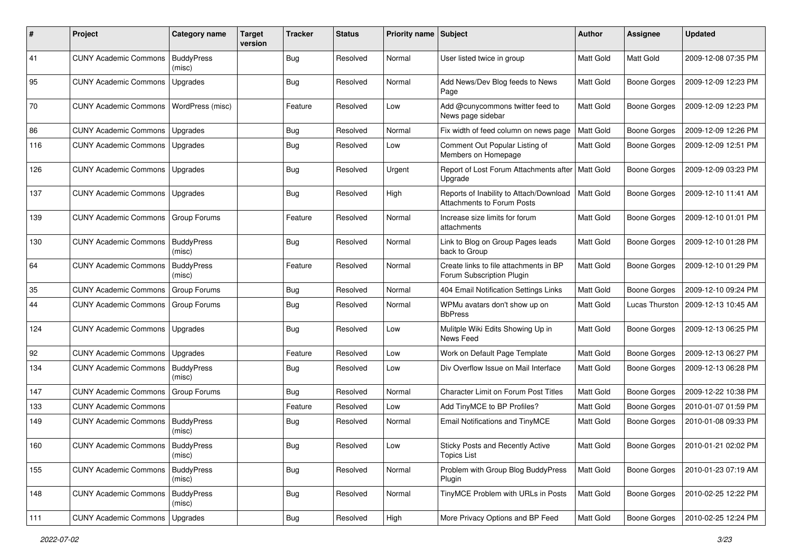| ∦   | Project                            | Category name               | <b>Target</b><br>version | <b>Tracker</b> | <b>Status</b> | Priority name Subject |                                                                                   | <b>Author</b>    | <b>Assignee</b>       | <b>Updated</b>      |
|-----|------------------------------------|-----------------------------|--------------------------|----------------|---------------|-----------------------|-----------------------------------------------------------------------------------|------------------|-----------------------|---------------------|
| 41  | <b>CUNY Academic Commons</b>       | <b>BuddyPress</b><br>(misc) |                          | <b>Bug</b>     | Resolved      | Normal                | User listed twice in group                                                        | Matt Gold        | Matt Gold             | 2009-12-08 07:35 PM |
| 95  | <b>CUNY Academic Commons</b>       | Upgrades                    |                          | <b>Bug</b>     | Resolved      | Normal                | Add News/Dev Blog feeds to News<br>Page                                           | <b>Matt Gold</b> | Boone Gorges          | 2009-12-09 12:23 PM |
| 70  | <b>CUNY Academic Commons</b>       | WordPress (misc)            |                          | Feature        | Resolved      | Low                   | Add @cunycommons twitter feed to<br>News page sidebar                             | <b>Matt Gold</b> | <b>Boone Gorges</b>   | 2009-12-09 12:23 PM |
| 86  | <b>CUNY Academic Commons</b>       | Upgrades                    |                          | Bug            | Resolved      | Normal                | Fix width of feed column on news page                                             | Matt Gold        | <b>Boone Gorges</b>   | 2009-12-09 12:26 PM |
| 116 | <b>CUNY Academic Commons</b>       | Upgrades                    |                          | Bug            | Resolved      | Low                   | Comment Out Popular Listing of<br>Members on Homepage                             | Matt Gold        | Boone Gorges          | 2009-12-09 12:51 PM |
| 126 | <b>CUNY Academic Commons</b>       | Upgrades                    |                          | Bug            | Resolved      | Urgent                | Report of Lost Forum Attachments after   Matt Gold<br>Upgrade                     |                  | <b>Boone Gorges</b>   | 2009-12-09 03:23 PM |
| 137 | <b>CUNY Academic Commons</b>       | <b>Upgrades</b>             |                          | Bug            | Resolved      | High                  | Reports of Inability to Attach/Download   Matt Gold<br>Attachments to Forum Posts |                  | Boone Gorges          | 2009-12-10 11:41 AM |
| 139 | <b>CUNY Academic Commons</b>       | <b>Group Forums</b>         |                          | Feature        | Resolved      | Normal                | Increase size limits for forum<br>attachments                                     | <b>Matt Gold</b> | Boone Gorges          | 2009-12-10 01:01 PM |
| 130 | <b>CUNY Academic Commons</b>       | <b>BuddyPress</b><br>(misc) |                          | Bug            | Resolved      | Normal                | Link to Blog on Group Pages leads<br>back to Group                                | Matt Gold        | <b>Boone Gorges</b>   | 2009-12-10 01:28 PM |
| 64  | <b>CUNY Academic Commons</b>       | <b>BuddyPress</b><br>(misc) |                          | Feature        | Resolved      | Normal                | Create links to file attachments in BP<br>Forum Subscription Plugin               | Matt Gold        | <b>Boone Gorges</b>   | 2009-12-10 01:29 PM |
| 35  | <b>CUNY Academic Commons</b>       | <b>Group Forums</b>         |                          | <b>Bug</b>     | Resolved      | Normal                | 404 Email Notification Settings Links                                             | Matt Gold        | <b>Boone Gorges</b>   | 2009-12-10 09:24 PM |
| 44  | <b>CUNY Academic Commons</b>       | Group Forums                |                          | Bug            | Resolved      | Normal                | WPMu avatars don't show up on<br><b>BbPress</b>                                   | Matt Gold        | <b>Lucas Thurston</b> | 2009-12-13 10:45 AM |
| 124 | <b>CUNY Academic Commons</b>       | Upgrades                    |                          | Bug            | Resolved      | Low                   | Mulitple Wiki Edits Showing Up in<br>News Feed                                    | <b>Matt Gold</b> | <b>Boone Gorges</b>   | 2009-12-13 06:25 PM |
| 92  | <b>CUNY Academic Commons</b>       | Upgrades                    |                          | Feature        | Resolved      | Low                   | Work on Default Page Template                                                     | Matt Gold        | Boone Gorges          | 2009-12-13 06:27 PM |
| 134 | <b>CUNY Academic Commons</b>       | <b>BuddyPress</b><br>(misc) |                          | Bug            | Resolved      | Low                   | Div Overflow Issue on Mail Interface                                              | Matt Gold        | Boone Gorges          | 2009-12-13 06:28 PM |
| 147 | <b>CUNY Academic Commons</b>       | <b>Group Forums</b>         |                          | <b>Bug</b>     | Resolved      | Normal                | <b>Character Limit on Forum Post Titles</b>                                       | Matt Gold        | <b>Boone Gorges</b>   | 2009-12-22 10:38 PM |
| 133 | <b>CUNY Academic Commons</b>       |                             |                          | Feature        | Resolved      | Low                   | Add TinyMCE to BP Profiles?                                                       | Matt Gold        | <b>Boone Gorges</b>   | 2010-01-07 01:59 PM |
| 149 | <b>CUNY Academic Commons</b>       | <b>BuddyPress</b><br>(misc) |                          | Bug            | Resolved      | Normal                | Email Notifications and TinyMCE                                                   | <b>Matt Gold</b> | Boone Gorges          | 2010-01-08 09:33 PM |
| 160 | CUNY Academic Commons   BuddyPress | (misc)                      |                          | Bug            | Resolved      | Low                   | Sticky Posts and Recently Active<br><b>Topics List</b>                            | Matt Gold        | Boone Gorges          | 2010-01-21 02:02 PM |
| 155 | <b>CUNY Academic Commons</b>       | <b>BuddyPress</b><br>(misc) |                          | <b>Bug</b>     | Resolved      | Normal                | Problem with Group Blog BuddyPress<br>Plugin                                      | Matt Gold        | <b>Boone Gorges</b>   | 2010-01-23 07:19 AM |
| 148 | <b>CUNY Academic Commons</b>       | <b>BuddyPress</b><br>(misc) |                          | Bug            | Resolved      | Normal                | TinyMCE Problem with URLs in Posts                                                | Matt Gold        | <b>Boone Gorges</b>   | 2010-02-25 12:22 PM |
| 111 | <b>CUNY Academic Commons</b>       | Upgrades                    |                          | <b>Bug</b>     | Resolved      | High                  | More Privacy Options and BP Feed                                                  | Matt Gold        | Boone Gorges          | 2010-02-25 12:24 PM |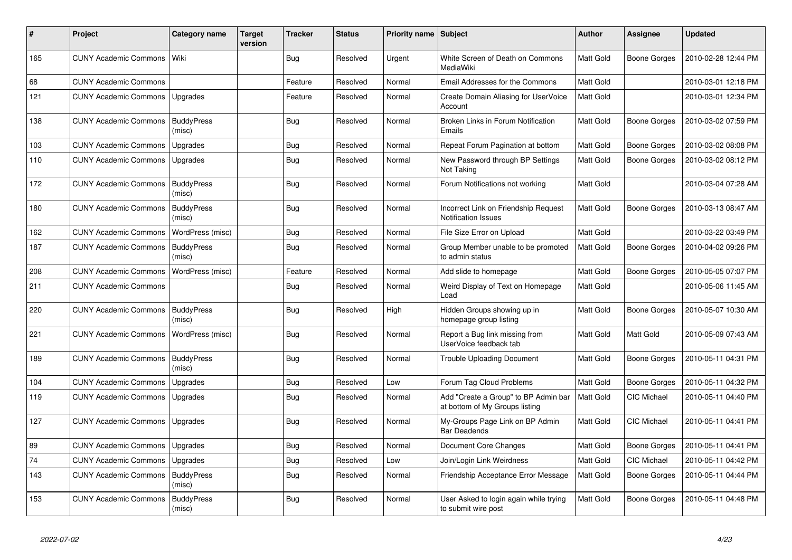| #   | <b>Project</b>               | Category name               | Target<br>version | <b>Tracker</b> | <b>Status</b> | Priority name   Subject |                                                                        | <b>Author</b>    | Assignee            | <b>Updated</b>      |
|-----|------------------------------|-----------------------------|-------------------|----------------|---------------|-------------------------|------------------------------------------------------------------------|------------------|---------------------|---------------------|
| 165 | <b>CUNY Academic Commons</b> | Wiki                        |                   | <b>Bug</b>     | Resolved      | Urgent                  | White Screen of Death on Commons<br>MediaWiki                          | Matt Gold        | <b>Boone Gorges</b> | 2010-02-28 12:44 PM |
| 68  | <b>CUNY Academic Commons</b> |                             |                   | Feature        | Resolved      | Normal                  | Email Addresses for the Commons                                        | Matt Gold        |                     | 2010-03-01 12:18 PM |
| 121 | <b>CUNY Academic Commons</b> | Upgrades                    |                   | Feature        | Resolved      | Normal                  | Create Domain Aliasing for UserVoice<br>Account                        | <b>Matt Gold</b> |                     | 2010-03-01 12:34 PM |
| 138 | <b>CUNY Academic Commons</b> | <b>BuddyPress</b><br>(misc) |                   | <b>Bug</b>     | Resolved      | Normal                  | Broken Links in Forum Notification<br>Emails                           | Matt Gold        | <b>Boone Gorges</b> | 2010-03-02 07:59 PM |
| 103 | <b>CUNY Academic Commons</b> | Upgrades                    |                   | Bug            | Resolved      | Normal                  | Repeat Forum Pagination at bottom                                      | <b>Matt Gold</b> | Boone Gorges        | 2010-03-02 08:08 PM |
| 110 | <b>CUNY Academic Commons</b> | Upgrades                    |                   | <b>Bug</b>     | Resolved      | Normal                  | New Password through BP Settings<br>Not Taking                         | <b>Matt Gold</b> | <b>Boone Gorges</b> | 2010-03-02 08:12 PM |
| 172 | <b>CUNY Academic Commons</b> | <b>BuddyPress</b><br>(misc) |                   | <b>Bug</b>     | Resolved      | Normal                  | Forum Notifications not working                                        | <b>Matt Gold</b> |                     | 2010-03-04 07:28 AM |
| 180 | <b>CUNY Academic Commons</b> | <b>BuddyPress</b><br>(misc) |                   | Bug            | Resolved      | Normal                  | Incorrect Link on Friendship Request<br><b>Notification Issues</b>     | <b>Matt Gold</b> | <b>Boone Gorges</b> | 2010-03-13 08:47 AM |
| 162 | <b>CUNY Academic Commons</b> | WordPress (misc)            |                   | Bug            | Resolved      | Normal                  | File Size Error on Upload                                              | Matt Gold        |                     | 2010-03-22 03:49 PM |
| 187 | <b>CUNY Academic Commons</b> | <b>BuddyPress</b><br>(misc) |                   | Bug            | Resolved      | Normal                  | Group Member unable to be promoted<br>to admin status                  | <b>Matt Gold</b> | Boone Gorges        | 2010-04-02 09:26 PM |
| 208 | <b>CUNY Academic Commons</b> | WordPress (misc)            |                   | Feature        | Resolved      | Normal                  | Add slide to homepage                                                  | Matt Gold        | <b>Boone Gorges</b> | 2010-05-05 07:07 PM |
| 211 | <b>CUNY Academic Commons</b> |                             |                   | <b>Bug</b>     | Resolved      | Normal                  | Weird Display of Text on Homepage<br>Load                              | <b>Matt Gold</b> |                     | 2010-05-06 11:45 AM |
| 220 | <b>CUNY Academic Commons</b> | <b>BuddyPress</b><br>(misc) |                   | Bug            | Resolved      | High                    | Hidden Groups showing up in<br>homepage group listing                  | <b>Matt Gold</b> | <b>Boone Gorges</b> | 2010-05-07 10:30 AM |
| 221 | <b>CUNY Academic Commons</b> | WordPress (misc)            |                   | <b>Bug</b>     | Resolved      | Normal                  | Report a Bug link missing from<br>UserVoice feedback tab               | Matt Gold        | Matt Gold           | 2010-05-09 07:43 AM |
| 189 | <b>CUNY Academic Commons</b> | <b>BuddyPress</b><br>(misc) |                   | Bug            | Resolved      | Normal                  | <b>Trouble Uploading Document</b>                                      | <b>Matt Gold</b> | <b>Boone Gorges</b> | 2010-05-11 04:31 PM |
| 104 | <b>CUNY Academic Commons</b> | Upgrades                    |                   | <b>Bug</b>     | Resolved      | Low                     | Forum Tag Cloud Problems                                               | <b>Matt Gold</b> | <b>Boone Gorges</b> | 2010-05-11 04:32 PM |
| 119 | <b>CUNY Academic Commons</b> | Upgrades                    |                   | <b>Bug</b>     | Resolved      | Normal                  | Add "Create a Group" to BP Admin bar<br>at bottom of My Groups listing | <b>Matt Gold</b> | <b>CIC Michael</b>  | 2010-05-11 04:40 PM |
| 127 | <b>CUNY Academic Commons</b> | Upgrades                    |                   | <b>Bug</b>     | Resolved      | Normal                  | My-Groups Page Link on BP Admin<br><b>Bar Deadends</b>                 | <b>Matt Gold</b> | <b>CIC Michael</b>  | 2010-05-11 04:41 PM |
| 89  | <b>CUNY Academic Commons</b> | Upgrades                    |                   | <b>Bug</b>     | Resolved      | Normal                  | Document Core Changes                                                  | Matt Gold        | <b>Boone Gorges</b> | 2010-05-11 04:41 PM |
| 74  | <b>CUNY Academic Commons</b> | Upgrades                    |                   | <b>Bug</b>     | Resolved      | Low                     | Join/Login Link Weirdness                                              | Matt Gold        | <b>CIC Michael</b>  | 2010-05-11 04:42 PM |
| 143 | <b>CUNY Academic Commons</b> | <b>BuddyPress</b><br>(misc) |                   | Bug            | Resolved      | Normal                  | Friendship Acceptance Error Message                                    | <b>Matt Gold</b> | Boone Gorges        | 2010-05-11 04:44 PM |
| 153 | <b>CUNY Academic Commons</b> | <b>BuddyPress</b><br>(misc) |                   | <b>Bug</b>     | Resolved      | Normal                  | User Asked to login again while trying<br>to submit wire post          | Matt Gold        | Boone Gorges        | 2010-05-11 04:48 PM |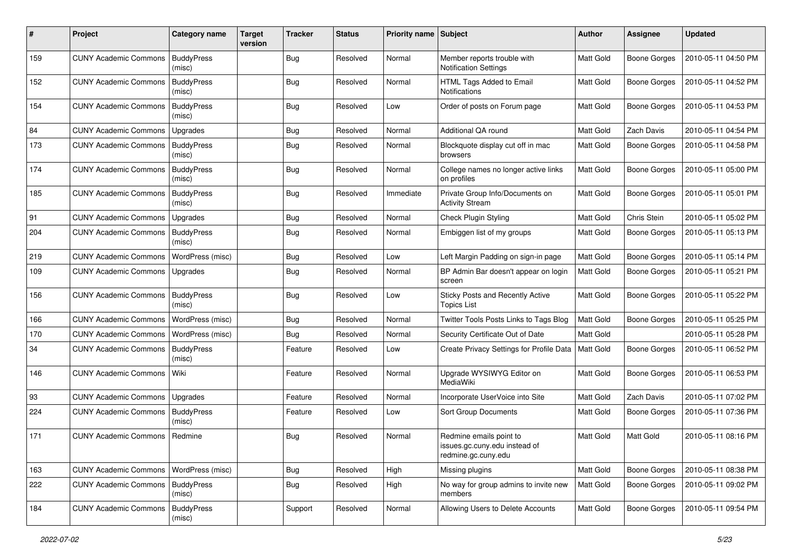| #   | Project                      | <b>Category name</b>        | <b>Target</b><br>version | <b>Tracker</b> | <b>Status</b> | Priority name Subject |                                                                                 | <b>Author</b> | <b>Assignee</b>     | <b>Updated</b>      |
|-----|------------------------------|-----------------------------|--------------------------|----------------|---------------|-----------------------|---------------------------------------------------------------------------------|---------------|---------------------|---------------------|
| 159 | <b>CUNY Academic Commons</b> | <b>BuddyPress</b><br>(misc) |                          | <b>Bug</b>     | Resolved      | Normal                | Member reports trouble with<br><b>Notification Settings</b>                     | Matt Gold     | <b>Boone Gorges</b> | 2010-05-11 04:50 PM |
| 152 | <b>CUNY Academic Commons</b> | <b>BuddyPress</b><br>(misc) |                          | <b>Bug</b>     | Resolved      | Normal                | HTML Tags Added to Email<br>Notifications                                       | Matt Gold     | <b>Boone Gorges</b> | 2010-05-11 04:52 PM |
| 154 | <b>CUNY Academic Commons</b> | <b>BuddyPress</b><br>(misc) |                          | Bug            | Resolved      | Low                   | Order of posts on Forum page                                                    | Matt Gold     | Boone Gorges        | 2010-05-11 04:53 PM |
| 84  | <b>CUNY Academic Commons</b> | Upgrades                    |                          | <b>Bug</b>     | Resolved      | Normal                | Additional QA round                                                             | Matt Gold     | Zach Davis          | 2010-05-11 04:54 PM |
| 173 | <b>CUNY Academic Commons</b> | <b>BuddyPress</b><br>(misc) |                          | Bug            | Resolved      | Normal                | Blockquote display cut off in mac<br>browsers                                   | Matt Gold     | <b>Boone Gorges</b> | 2010-05-11 04:58 PM |
| 174 | <b>CUNY Academic Commons</b> | <b>BuddyPress</b><br>(misc) |                          | Bug            | Resolved      | Normal                | College names no longer active links<br>on profiles                             | Matt Gold     | Boone Gorges        | 2010-05-11 05:00 PM |
| 185 | <b>CUNY Academic Commons</b> | <b>BuddyPress</b><br>(misc) |                          | Bug            | Resolved      | Immediate             | Private Group Info/Documents on<br><b>Activity Stream</b>                       | Matt Gold     | <b>Boone Gorges</b> | 2010-05-11 05:01 PM |
| 91  | <b>CUNY Academic Commons</b> | Upgrades                    |                          | <b>Bug</b>     | Resolved      | Normal                | Check Plugin Styling                                                            | Matt Gold     | Chris Stein         | 2010-05-11 05:02 PM |
| 204 | <b>CUNY Academic Commons</b> | <b>BuddyPress</b><br>(misc) |                          | Bug            | Resolved      | Normal                | Embiggen list of my groups                                                      | Matt Gold     | Boone Gorges        | 2010-05-11 05:13 PM |
| 219 | <b>CUNY Academic Commons</b> | WordPress (misc)            |                          | Bug            | Resolved      | Low                   | Left Margin Padding on sign-in page                                             | Matt Gold     | <b>Boone Gorges</b> | 2010-05-11 05:14 PM |
| 109 | <b>CUNY Academic Commons</b> | Upgrades                    |                          | <b>Bug</b>     | Resolved      | Normal                | BP Admin Bar doesn't appear on login<br>screen                                  | Matt Gold     | <b>Boone Gorges</b> | 2010-05-11 05:21 PM |
| 156 | <b>CUNY Academic Commons</b> | <b>BuddyPress</b><br>(misc) |                          | Bug            | Resolved      | Low                   | Sticky Posts and Recently Active<br><b>Topics List</b>                          | Matt Gold     | Boone Gorges        | 2010-05-11 05:22 PM |
| 166 | <b>CUNY Academic Commons</b> | WordPress (misc)            |                          | <b>Bug</b>     | Resolved      | Normal                | Twitter Tools Posts Links to Tags Blog                                          | Matt Gold     | <b>Boone Gorges</b> | 2010-05-11 05:25 PM |
| 170 | <b>CUNY Academic Commons</b> | WordPress (misc)            |                          | <b>Bug</b>     | Resolved      | Normal                | Security Certificate Out of Date                                                | Matt Gold     |                     | 2010-05-11 05:28 PM |
| 34  | <b>CUNY Academic Commons</b> | <b>BuddyPress</b><br>(misc) |                          | Feature        | Resolved      | Low                   | Create Privacy Settings for Profile Data                                        | Matt Gold     | Boone Gorges        | 2010-05-11 06:52 PM |
| 146 | <b>CUNY Academic Commons</b> | Wiki                        |                          | Feature        | Resolved      | Normal                | Upgrade WYSIWYG Editor on<br>MediaWiki                                          | Matt Gold     | Boone Gorges        | 2010-05-11 06:53 PM |
| 93  | <b>CUNY Academic Commons</b> | Upgrades                    |                          | Feature        | Resolved      | Normal                | Incorporate UserVoice into Site                                                 | Matt Gold     | Zach Davis          | 2010-05-11 07:02 PM |
| 224 | <b>CUNY Academic Commons</b> | <b>BuddyPress</b><br>(misc) |                          | Feature        | Resolved      | Low                   | Sort Group Documents                                                            | Matt Gold     | <b>Boone Gorges</b> | 2010-05-11 07:36 PM |
| 171 | <b>CUNY Academic Commons</b> | Redmine                     |                          | Bug            | Resolved      | Normal                | Redmine emails point to<br>issues.gc.cuny.edu instead of<br>redmine.gc.cuny.edu | Matt Gold     | Matt Gold           | 2010-05-11 08:16 PM |
| 163 | <b>CUNY Academic Commons</b> | WordPress (misc)            |                          | <b>Bug</b>     | Resolved      | High                  | Missing plugins                                                                 | Matt Gold     | <b>Boone Gorges</b> | 2010-05-11 08:38 PM |
| 222 | <b>CUNY Academic Commons</b> | <b>BuddyPress</b><br>(misc) |                          | Bug            | Resolved      | High                  | No way for group admins to invite new<br>members                                | Matt Gold     | Boone Gorges        | 2010-05-11 09:02 PM |
| 184 | <b>CUNY Academic Commons</b> | <b>BuddyPress</b><br>(misc) |                          | Support        | Resolved      | Normal                | Allowing Users to Delete Accounts                                               | Matt Gold     | Boone Gorges        | 2010-05-11 09:54 PM |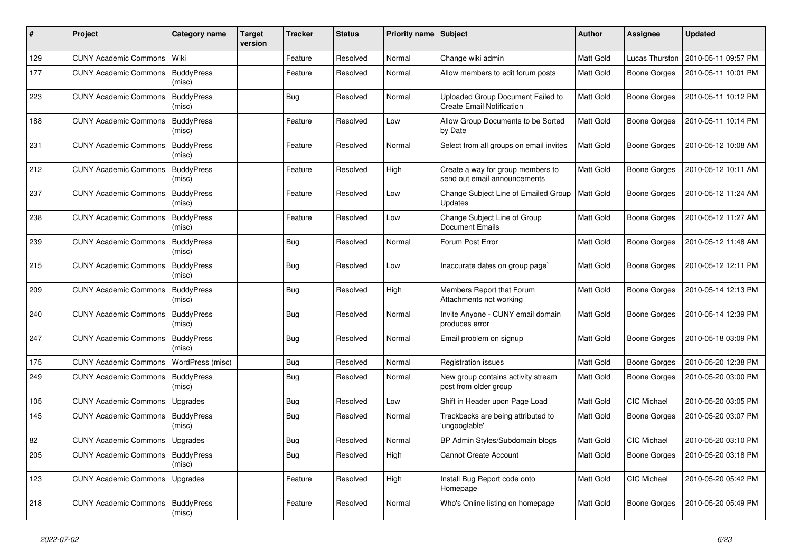| #   | Project                            | Category name               | <b>Target</b><br>version | Tracker    | <b>Status</b> | Priority name Subject |                                                                       | <b>Author</b>    | <b>Assignee</b>     | <b>Updated</b>      |
|-----|------------------------------------|-----------------------------|--------------------------|------------|---------------|-----------------------|-----------------------------------------------------------------------|------------------|---------------------|---------------------|
| 129 | <b>CUNY Academic Commons</b>       | Wiki                        |                          | Feature    | Resolved      | Normal                | Change wiki admin                                                     | Matt Gold        | Lucas Thurston      | 2010-05-11 09:57 PM |
| 177 | <b>CUNY Academic Commons</b>       | <b>BuddyPress</b><br>(misc) |                          | Feature    | Resolved      | Normal                | Allow members to edit forum posts                                     | Matt Gold        | <b>Boone Gorges</b> | 2010-05-11 10:01 PM |
| 223 | <b>CUNY Academic Commons</b>       | <b>BuddyPress</b><br>(misc) |                          | <b>Bug</b> | Resolved      | Normal                | Uploaded Group Document Failed to<br><b>Create Email Notification</b> | Matt Gold        | <b>Boone Gorges</b> | 2010-05-11 10:12 PM |
| 188 | <b>CUNY Academic Commons</b>       | <b>BuddyPress</b><br>(misc) |                          | Feature    | Resolved      | Low                   | Allow Group Documents to be Sorted<br>by Date                         | <b>Matt Gold</b> | <b>Boone Gorges</b> | 2010-05-11 10:14 PM |
| 231 | <b>CUNY Academic Commons</b>       | <b>BuddyPress</b><br>(misc) |                          | Feature    | Resolved      | Normal                | Select from all groups on email invites                               | Matt Gold        | Boone Gorges        | 2010-05-12 10:08 AM |
| 212 | <b>CUNY Academic Commons</b>       | <b>BuddyPress</b><br>(misc) |                          | Feature    | Resolved      | High                  | Create a way for group members to<br>send out email announcements     | Matt Gold        | Boone Gorges        | 2010-05-12 10:11 AM |
| 237 | <b>CUNY Academic Commons</b>       | <b>BuddyPress</b><br>(misc) |                          | Feature    | Resolved      | Low                   | Change Subject Line of Emailed Group<br>Updates                       | Matt Gold        | <b>Boone Gorges</b> | 2010-05-12 11:24 AM |
| 238 | <b>CUNY Academic Commons</b>       | <b>BuddyPress</b><br>(misc) |                          | Feature    | Resolved      | Low                   | Change Subject Line of Group<br><b>Document Emails</b>                | Matt Gold        | <b>Boone Gorges</b> | 2010-05-12 11:27 AM |
| 239 | <b>CUNY Academic Commons</b>       | <b>BuddyPress</b><br>(misc) |                          | <b>Bug</b> | Resolved      | Normal                | Forum Post Error                                                      | Matt Gold        | <b>Boone Gorges</b> | 2010-05-12 11:48 AM |
| 215 | <b>CUNY Academic Commons</b>       | <b>BuddyPress</b><br>(misc) |                          | <b>Bug</b> | Resolved      | Low                   | Inaccurate dates on group page`                                       | Matt Gold        | <b>Boone Gorges</b> | 2010-05-12 12:11 PM |
| 209 | <b>CUNY Academic Commons</b>       | <b>BuddyPress</b><br>(misc) |                          | <b>Bug</b> | Resolved      | High                  | Members Report that Forum<br>Attachments not working                  | <b>Matt Gold</b> | <b>Boone Gorges</b> | 2010-05-14 12:13 PM |
| 240 | <b>CUNY Academic Commons</b>       | <b>BuddyPress</b><br>(misc) |                          | <b>Bug</b> | Resolved      | Normal                | Invite Anyone - CUNY email domain<br>produces error                   | Matt Gold        | <b>Boone Gorges</b> | 2010-05-14 12:39 PM |
| 247 | <b>CUNY Academic Commons</b>       | <b>BuddyPress</b><br>(misc) |                          | <b>Bug</b> | Resolved      | Normal                | Email problem on signup                                               | Matt Gold        | <b>Boone Gorges</b> | 2010-05-18 03:09 PM |
| 175 | <b>CUNY Academic Commons</b>       | WordPress (misc)            |                          | <b>Bug</b> | Resolved      | Normal                | Registration issues                                                   | Matt Gold        | <b>Boone Gorges</b> | 2010-05-20 12:38 PM |
| 249 | <b>CUNY Academic Commons</b>       | <b>BuddyPress</b><br>(misc) |                          | <b>Bug</b> | Resolved      | Normal                | New group contains activity stream<br>post from older group           | Matt Gold        | <b>Boone Gorges</b> | 2010-05-20 03:00 PM |
| 105 | <b>CUNY Academic Commons</b>       | Upgrades                    |                          | <b>Bug</b> | Resolved      | Low                   | Shift in Header upon Page Load                                        | Matt Gold        | CIC Michael         | 2010-05-20 03:05 PM |
| 145 | <b>CUNY Academic Commons</b>       | <b>BuddyPress</b><br>(misc) |                          | <b>Bug</b> | Resolved      | Normal                | Trackbacks are being attributed to<br>'ungooglable'                   | Matt Gold        | Boone Gorges        | 2010-05-20 03:07 PM |
| 82  | <b>CUNY Academic Commons</b>       | Upgrades                    |                          | <b>Bug</b> | Resolved      | Normal                | BP Admin Styles/Subdomain blogs                                       | Matt Gold        | CIC Michael         | 2010-05-20 03:10 PM |
| 205 | CUNY Academic Commons   BuddyPress | (misc)                      |                          | <b>Bug</b> | Resolved      | High                  | <b>Cannot Create Account</b>                                          | Matt Gold        | <b>Boone Gorges</b> | 2010-05-20 03:18 PM |
| 123 | <b>CUNY Academic Commons</b>       | Upgrades                    |                          | Feature    | Resolved      | High                  | Install Bug Report code onto<br>Homepage                              | Matt Gold        | CIC Michael         | 2010-05-20 05:42 PM |
| 218 | <b>CUNY Academic Commons</b>       | BuddyPress<br>(misc)        |                          | Feature    | Resolved      | Normal                | Who's Online listing on homepage                                      | Matt Gold        | Boone Gorges        | 2010-05-20 05:49 PM |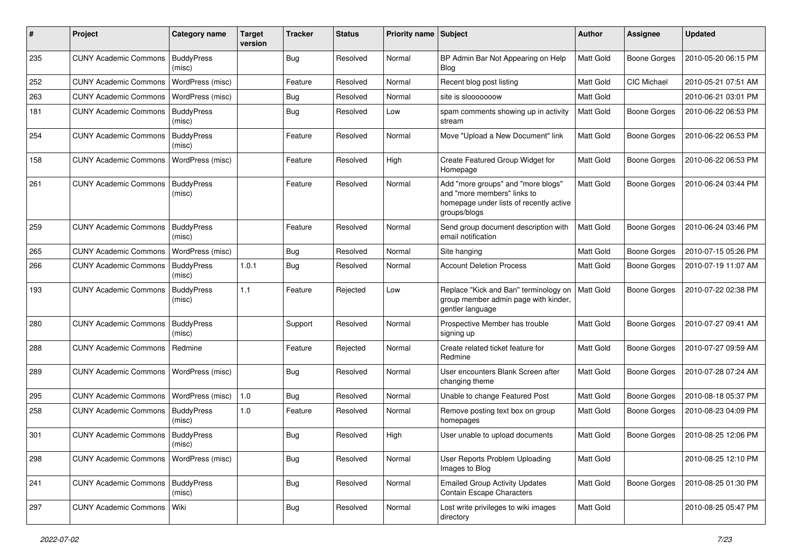| #   | Project                                  | <b>Category name</b>        | <b>Target</b><br>version | <b>Tracker</b> | <b>Status</b> | <b>Priority name</b> | Subject                                                                                                                      | <b>Author</b>    | <b>Assignee</b>     | <b>Updated</b>      |
|-----|------------------------------------------|-----------------------------|--------------------------|----------------|---------------|----------------------|------------------------------------------------------------------------------------------------------------------------------|------------------|---------------------|---------------------|
| 235 | <b>CUNY Academic Commons</b>             | <b>BuddyPress</b><br>(misc) |                          | <b>Bug</b>     | Resolved      | Normal               | BP Admin Bar Not Appearing on Help<br><b>Blog</b>                                                                            | Matt Gold        | <b>Boone Gorges</b> | 2010-05-20 06:15 PM |
| 252 | <b>CUNY Academic Commons</b>             | WordPress (misc)            |                          | Feature        | Resolved      | Normal               | Recent blog post listing                                                                                                     | Matt Gold        | CIC Michael         | 2010-05-21 07:51 AM |
| 263 | <b>CUNY Academic Commons</b>             | WordPress (misc)            |                          | <b>Bug</b>     | Resolved      | Normal               | site is slooooooow                                                                                                           | Matt Gold        |                     | 2010-06-21 03:01 PM |
| 181 | <b>CUNY Academic Commons</b>             | <b>BuddyPress</b><br>(misc) |                          | <b>Bug</b>     | Resolved      | Low                  | spam comments showing up in activity<br>stream                                                                               | Matt Gold        | <b>Boone Gorges</b> | 2010-06-22 06:53 PM |
| 254 | <b>CUNY Academic Commons</b>             | <b>BuddyPress</b><br>(misc) |                          | Feature        | Resolved      | Normal               | Move "Upload a New Document" link                                                                                            | Matt Gold        | <b>Boone Gorges</b> | 2010-06-22 06:53 PM |
| 158 | <b>CUNY Academic Commons</b>             | WordPress (misc)            |                          | Feature        | Resolved      | High                 | Create Featured Group Widget for<br>Homepage                                                                                 | Matt Gold        | <b>Boone Gorges</b> | 2010-06-22 06:53 PM |
| 261 | <b>CUNY Academic Commons</b>             | <b>BuddyPress</b><br>(misc) |                          | Feature        | Resolved      | Normal               | Add "more groups" and "more blogs"<br>and "more members" links to<br>homepage under lists of recently active<br>groups/blogs | Matt Gold        | <b>Boone Gorges</b> | 2010-06-24 03:44 PM |
| 259 | <b>CUNY Academic Commons</b>             | <b>BuddyPress</b><br>(misc) |                          | Feature        | Resolved      | Normal               | Send group document description with<br>email notification                                                                   | Matt Gold        | <b>Boone Gorges</b> | 2010-06-24 03:46 PM |
| 265 | <b>CUNY Academic Commons</b>             | WordPress (misc)            |                          | <b>Bug</b>     | Resolved      | Normal               | Site hanging                                                                                                                 | Matt Gold        | <b>Boone Gorges</b> | 2010-07-15 05:26 PM |
| 266 | <b>CUNY Academic Commons</b>             | <b>BuddyPress</b><br>(misc) | 1.0.1                    | <b>Bug</b>     | Resolved      | Normal               | <b>Account Deletion Process</b>                                                                                              | Matt Gold        | <b>Boone Gorges</b> | 2010-07-19 11:07 AM |
| 193 | <b>CUNY Academic Commons</b>             | <b>BuddyPress</b><br>(misc) | 1.1                      | Feature        | Rejected      | Low                  | Replace "Kick and Ban" terminology on<br>group member admin page with kinder,<br>gentler language                            | Matt Gold        | <b>Boone Gorges</b> | 2010-07-22 02:38 PM |
| 280 | <b>CUNY Academic Commons</b>             | <b>BuddyPress</b><br>(misc) |                          | Support        | Resolved      | Normal               | Prospective Member has trouble<br>signing up                                                                                 | Matt Gold        | <b>Boone Gorges</b> | 2010-07-27 09:41 AM |
| 288 | <b>CUNY Academic Commons</b>             | Redmine                     |                          | Feature        | Rejected      | Normal               | Create related ticket feature for<br>Redmine                                                                                 | Matt Gold        | <b>Boone Gorges</b> | 2010-07-27 09:59 AM |
| 289 | <b>CUNY Academic Commons</b>             | WordPress (misc)            |                          | Bug            | Resolved      | Normal               | User encounters Blank Screen after<br>changing theme                                                                         | Matt Gold        | Boone Gorges        | 2010-07-28 07:24 AM |
| 295 | <b>CUNY Academic Commons</b>             | WordPress (misc)            | 1.0                      | <b>Bug</b>     | Resolved      | Normal               | Unable to change Featured Post                                                                                               | Matt Gold        | <b>Boone Gorges</b> | 2010-08-18 05:37 PM |
| 258 | <b>CUNY Academic Commons</b>             | <b>BuddyPress</b><br>(misc) | 1.0                      | Feature        | Resolved      | Normal               | Remove posting text box on group<br>homepages                                                                                | Matt Gold        | <b>Boone Gorges</b> | 2010-08-23 04:09 PM |
| 301 | <b>CUNY Academic Commons</b>             | <b>BuddyPress</b><br>(misc) |                          | Bug            | Resolved      | High                 | User unable to upload documents                                                                                              | <b>Matt Gold</b> | <b>Boone Gorges</b> | 2010-08-25 12:06 PM |
| 298 | CUNY Academic Commons   WordPress (misc) |                             |                          | Bug            | Resolved      | Normal               | User Reports Problem Uploading<br>Images to Blog                                                                             | Matt Gold        |                     | 2010-08-25 12:10 PM |
| 241 | <b>CUNY Academic Commons</b>             | <b>BuddyPress</b><br>(misc) |                          | <b>Bug</b>     | Resolved      | Normal               | <b>Emailed Group Activity Updates</b><br><b>Contain Escape Characters</b>                                                    | Matt Gold        | Boone Gorges        | 2010-08-25 01:30 PM |
| 297 | <b>CUNY Academic Commons</b>             | Wiki                        |                          | <b>Bug</b>     | Resolved      | Normal               | Lost write privileges to wiki images<br>directory                                                                            | Matt Gold        |                     | 2010-08-25 05:47 PM |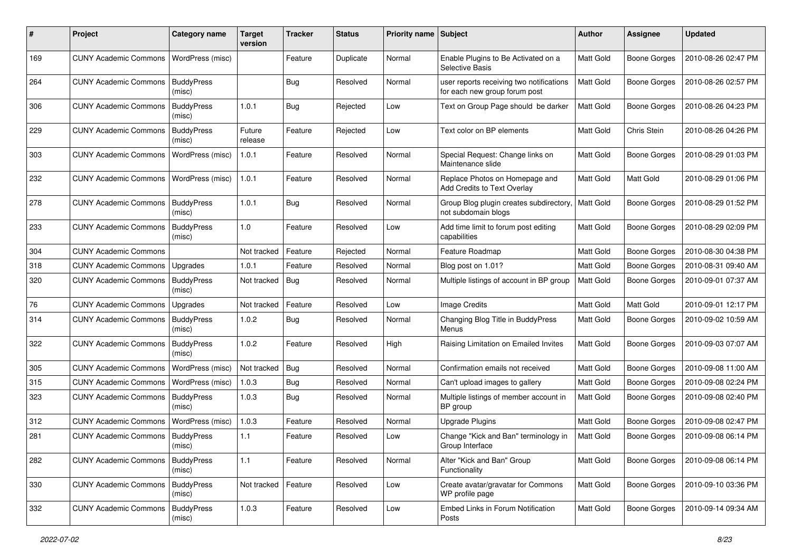| #   | Project                            | <b>Category name</b>        | <b>Target</b><br>version | <b>Tracker</b> | <b>Status</b> | <b>Priority name</b> | Subject                                                                   | Author           | Assignee            | <b>Updated</b>      |
|-----|------------------------------------|-----------------------------|--------------------------|----------------|---------------|----------------------|---------------------------------------------------------------------------|------------------|---------------------|---------------------|
| 169 | <b>CUNY Academic Commons</b>       | WordPress (misc)            |                          | Feature        | Duplicate     | Normal               | Enable Plugins to Be Activated on a<br>Selective Basis                    | Matt Gold        | <b>Boone Gorges</b> | 2010-08-26 02:47 PM |
| 264 | <b>CUNY Academic Commons</b>       | <b>BuddyPress</b><br>(misc) |                          | <b>Bug</b>     | Resolved      | Normal               | user reports receiving two notifications<br>for each new group forum post | Matt Gold        | <b>Boone Gorges</b> | 2010-08-26 02:57 PM |
| 306 | <b>CUNY Academic Commons</b>       | <b>BuddyPress</b><br>(misc) | 1.0.1                    | Bug            | Rejected      | Low                  | Text on Group Page should be darker                                       | Matt Gold        | <b>Boone Gorges</b> | 2010-08-26 04:23 PM |
| 229 | <b>CUNY Academic Commons</b>       | <b>BuddyPress</b><br>(misc) | Future<br>release        | Feature        | Rejected      | Low                  | Text color on BP elements                                                 | Matt Gold        | Chris Stein         | 2010-08-26 04:26 PM |
| 303 | <b>CUNY Academic Commons</b>       | WordPress (misc)            | 1.0.1                    | Feature        | Resolved      | Normal               | Special Request: Change links on<br>Maintenance slide                     | <b>Matt Gold</b> | <b>Boone Gorges</b> | 2010-08-29 01:03 PM |
| 232 | <b>CUNY Academic Commons</b>       | WordPress (misc)            | 1.0.1                    | Feature        | Resolved      | Normal               | Replace Photos on Homepage and<br>Add Credits to Text Overlay             | Matt Gold        | Matt Gold           | 2010-08-29 01:06 PM |
| 278 | <b>CUNY Academic Commons</b>       | <b>BuddyPress</b><br>(misc) | 1.0.1                    | Bug            | Resolved      | Normal               | Group Blog plugin creates subdirectory,<br>not subdomain blogs            | Matt Gold        | <b>Boone Gorges</b> | 2010-08-29 01:52 PM |
| 233 | <b>CUNY Academic Commons</b>       | <b>BuddyPress</b><br>(misc) | 1.0                      | Feature        | Resolved      | Low                  | Add time limit to forum post editing<br>capabilities                      | Matt Gold        | <b>Boone Gorges</b> | 2010-08-29 02:09 PM |
| 304 | <b>CUNY Academic Commons</b>       |                             | Not tracked              | Feature        | Rejected      | Normal               | Feature Roadmap                                                           | Matt Gold        | Boone Gorges        | 2010-08-30 04:38 PM |
| 318 | <b>CUNY Academic Commons</b>       | Upgrades                    | 1.0.1                    | Feature        | Resolved      | Normal               | Blog post on 1.01?                                                        | Matt Gold        | <b>Boone Gorges</b> | 2010-08-31 09:40 AM |
| 320 | <b>CUNY Academic Commons</b>       | <b>BuddyPress</b><br>(misc) | Not tracked              | <b>Bug</b>     | Resolved      | Normal               | Multiple listings of account in BP group                                  | Matt Gold        | <b>Boone Gorges</b> | 2010-09-01 07:37 AM |
| 76  | <b>CUNY Academic Commons</b>       | Upgrades                    | Not tracked              | Feature        | Resolved      | Low                  | Image Credits                                                             | Matt Gold        | Matt Gold           | 2010-09-01 12:17 PM |
| 314 | <b>CUNY Academic Commons</b>       | <b>BuddyPress</b><br>(misc) | 1.0.2                    | <b>Bug</b>     | Resolved      | Normal               | Changing Blog Title in BuddyPress<br>Menus                                | Matt Gold        | <b>Boone Gorges</b> | 2010-09-02 10:59 AM |
| 322 | <b>CUNY Academic Commons</b>       | <b>BuddyPress</b><br>(misc) | 1.0.2                    | Feature        | Resolved      | High                 | Raising Limitation on Emailed Invites                                     | Matt Gold        | <b>Boone Gorges</b> | 2010-09-03 07:07 AM |
| 305 | <b>CUNY Academic Commons</b>       | WordPress (misc)            | Not tracked              | Bug            | Resolved      | Normal               | Confirmation emails not received                                          | Matt Gold        | <b>Boone Gorges</b> | 2010-09-08 11:00 AM |
| 315 | <b>CUNY Academic Commons</b>       | WordPress (misc)            | 1.0.3                    | <b>Bug</b>     | Resolved      | Normal               | Can't upload images to gallery                                            | Matt Gold        | <b>Boone Gorges</b> | 2010-09-08 02:24 PM |
| 323 | <b>CUNY Academic Commons</b>       | <b>BuddyPress</b><br>(misc) | 1.0.3                    | <b>Bug</b>     | Resolved      | Normal               | Multiple listings of member account in<br>BP group                        | Matt Gold        | <b>Boone Gorges</b> | 2010-09-08 02:40 PM |
| 312 | <b>CUNY Academic Commons</b>       | WordPress (misc)            | 1.0.3                    | Feature        | Resolved      | Normal               | <b>Upgrade Plugins</b>                                                    | Matt Gold        | <b>Boone Gorges</b> | 2010-09-08 02:47 PM |
| 281 | <b>CUNY Academic Commons</b>       | <b>BuddyPress</b><br>(misc) | 1.1                      | Feature        | Resolved      | Low                  | Change "Kick and Ban" terminology in<br>Group Interface                   | Matt Gold        | <b>Boone Gorges</b> | 2010-09-08 06:14 PM |
| 282 | CUNY Academic Commons   BuddyPress | (misc)                      | 1.1                      | Feature        | Resolved      | Normal               | Alter "Kick and Ban" Group<br>Functionality                               | Matt Gold        | <b>Boone Gorges</b> | 2010-09-08 06:14 PM |
| 330 | <b>CUNY Academic Commons</b>       | <b>BuddyPress</b><br>(misc) | Not tracked              | Feature        | Resolved      | Low                  | Create avatar/gravatar for Commons<br>WP profile page                     | Matt Gold        | <b>Boone Gorges</b> | 2010-09-10 03:36 PM |
| 332 | <b>CUNY Academic Commons</b>       | <b>BuddyPress</b><br>(misc) | 1.0.3                    | Feature        | Resolved      | Low                  | Embed Links in Forum Notification<br>Posts                                | Matt Gold        | <b>Boone Gorges</b> | 2010-09-14 09:34 AM |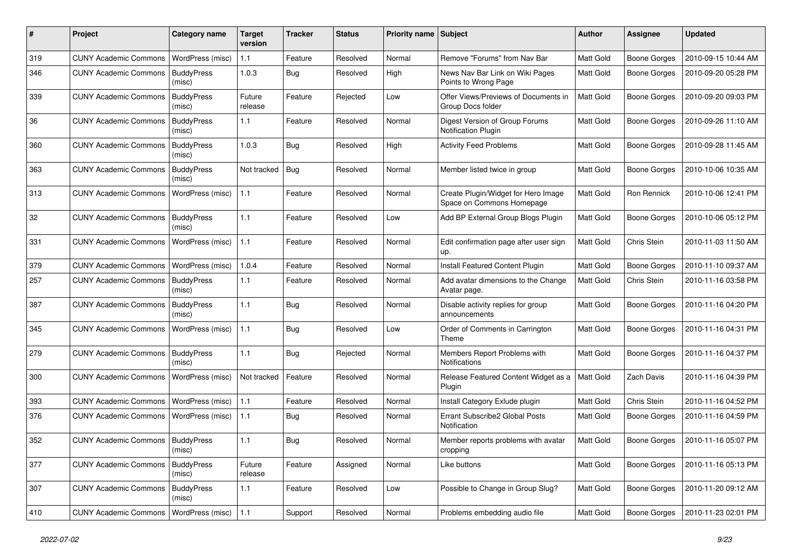| #   | Project                                   | Category name               | Target<br>version | <b>Tracker</b> | <b>Status</b> | <b>Priority name Subject</b> |                                                                  | <b>Author</b> | <b>Assignee</b>     | <b>Updated</b>      |
|-----|-------------------------------------------|-----------------------------|-------------------|----------------|---------------|------------------------------|------------------------------------------------------------------|---------------|---------------------|---------------------|
| 319 | <b>CUNY Academic Commons</b>              | WordPress (misc)            | $1.1$             | Feature        | Resolved      | Normal                       | Remove "Forums" from Nav Bar                                     | Matt Gold     | <b>Boone Gorges</b> | 2010-09-15 10:44 AM |
| 346 | <b>CUNY Academic Commons</b>              | <b>BuddyPress</b><br>(misc) | 1.0.3             | Bug            | Resolved      | High                         | News Nav Bar Link on Wiki Pages<br>Points to Wrong Page          | Matt Gold     | <b>Boone Gorges</b> | 2010-09-20 05:28 PM |
| 339 | <b>CUNY Academic Commons</b>              | <b>BuddyPress</b><br>(misc) | Future<br>release | Feature        | Rejected      | Low                          | Offer Views/Previews of Documents in<br>Group Docs folder        | Matt Gold     | <b>Boone Gorges</b> | 2010-09-20 09:03 PM |
| 36  | <b>CUNY Academic Commons</b>              | <b>BuddyPress</b><br>(misc) | 1.1               | Feature        | Resolved      | Normal                       | Digest Version of Group Forums<br><b>Notification Plugin</b>     | Matt Gold     | <b>Boone Gorges</b> | 2010-09-26 11:10 AM |
| 360 | <b>CUNY Academic Commons</b>              | <b>BuddyPress</b><br>(misc) | 1.0.3             | Bug            | Resolved      | High                         | <b>Activity Feed Problems</b>                                    | Matt Gold     | <b>Boone Gorges</b> | 2010-09-28 11:45 AM |
| 363 | <b>CUNY Academic Commons</b>              | <b>BuddyPress</b><br>(misc) | Not tracked       | Bug            | Resolved      | Normal                       | Member listed twice in group                                     | Matt Gold     | <b>Boone Gorges</b> | 2010-10-06 10:35 AM |
| 313 | <b>CUNY Academic Commons</b>              | WordPress (misc)            | 1.1               | Feature        | Resolved      | Normal                       | Create Plugin/Widget for Hero Image<br>Space on Commons Homepage | Matt Gold     | Ron Rennick         | 2010-10-06 12:41 PM |
| 32  | <b>CUNY Academic Commons</b>              | <b>BuddyPress</b><br>(misc) | 1.1               | Feature        | Resolved      | Low                          | Add BP External Group Blogs Plugin                               | Matt Gold     | <b>Boone Gorges</b> | 2010-10-06 05:12 PM |
| 331 | <b>CUNY Academic Commons</b>              | WordPress (misc)            | 1.1               | Feature        | Resolved      | Normal                       | Edit confirmation page after user sign<br>up.                    | Matt Gold     | Chris Stein         | 2010-11-03 11:50 AM |
| 379 | <b>CUNY Academic Commons</b>              | WordPress (misc)            | 1.0.4             | Feature        | Resolved      | Normal                       | Install Featured Content Plugin                                  | Matt Gold     | <b>Boone Gorges</b> | 2010-11-10 09:37 AM |
| 257 | <b>CUNY Academic Commons</b>              | <b>BuddyPress</b><br>(misc) | $1.1$             | Feature        | Resolved      | Normal                       | Add avatar dimensions to the Change<br>Avatar page.              | Matt Gold     | Chris Stein         | 2010-11-16 03:58 PM |
| 387 | <b>CUNY Academic Commons</b>              | <b>BuddyPress</b><br>(misc) | 1.1               | Bug            | Resolved      | Normal                       | Disable activity replies for group<br>announcements              | Matt Gold     | <b>Boone Gorges</b> | 2010-11-16 04:20 PM |
| 345 | <b>CUNY Academic Commons</b>              | WordPress (misc)            | $1.1$             | Bug            | Resolved      | Low                          | Order of Comments in Carrington<br>Theme                         | Matt Gold     | <b>Boone Gorges</b> | 2010-11-16 04:31 PM |
| 279 | <b>CUNY Academic Commons</b>              | <b>BuddyPress</b><br>(misc) | 1.1               | Bug            | Rejected      | Normal                       | Members Report Problems with<br><b>Notifications</b>             | Matt Gold     | <b>Boone Gorges</b> | 2010-11-16 04:37 PM |
| 300 | <b>CUNY Academic Commons</b>              | WordPress (misc)            | Not tracked       | Feature        | Resolved      | Normal                       | Release Featured Content Widget as a<br>Plugin                   | Matt Gold     | Zach Davis          | 2010-11-16 04:39 PM |
| 393 | <b>CUNY Academic Commons</b>              | WordPress (misc)            | 1.1               | Feature        | Resolved      | Normal                       | Install Category Exlude plugin                                   | Matt Gold     | Chris Stein         | 2010-11-16 04:52 PM |
| 376 | <b>CUNY Academic Commons</b>              | WordPress (misc)            | 1.1               | <b>Bug</b>     | Resolved      | Normal                       | Errant Subscribe2 Global Posts<br>Notification                   | Matt Gold     | <b>Boone Gorges</b> | 2010-11-16 04:59 PM |
| 352 | <b>CUNY Academic Commons   BuddyPress</b> | (misc)                      | 1.1               | Bug            | Resolved      | Normal                       | Member reports problems with avatar<br>cropping                  | Matt Gold     | <b>Boone Gorges</b> | 2010-11-16 05:07 PM |
| 377 | <b>CUNY Academic Commons</b>              | <b>BuddyPress</b><br>(misc) | Future<br>release | Feature        | Assigned      | Normal                       | Like buttons                                                     | Matt Gold     | <b>Boone Gorges</b> | 2010-11-16 05:13 PM |
| 307 | CUNY Academic Commons   BuddyPress        | (misc)                      | $1.1$             | Feature        | Resolved      | Low                          | Possible to Change in Group Slug?                                | Matt Gold     | Boone Gorges        | 2010-11-20 09:12 AM |
| 410 | <b>CUNY Academic Commons</b>              | WordPress (misc)            | 1.1               | Support        | Resolved      | Normal                       | Problems embedding audio file                                    | Matt Gold     | Boone Gorges        | 2010-11-23 02:01 PM |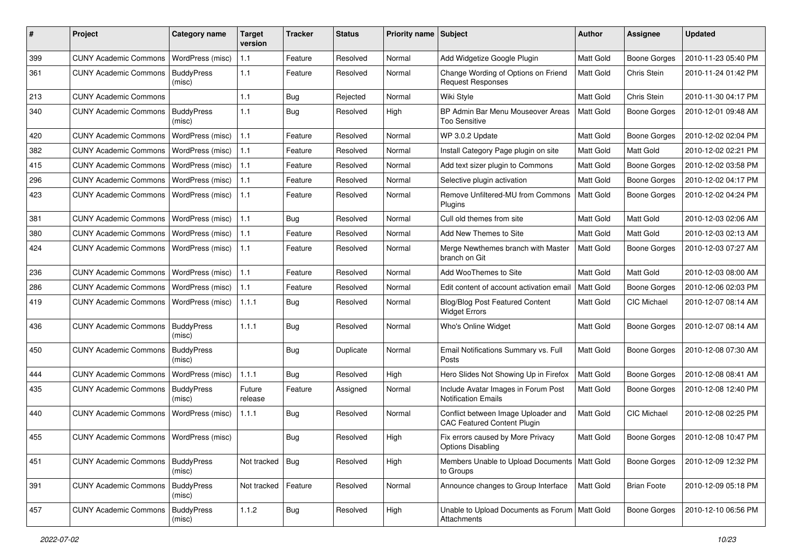| #   | Project                                  | Category name               | <b>Target</b><br>version | <b>Tracker</b> | <b>Status</b> | <b>Priority name</b> | Subject                                                                   | <b>Author</b> | Assignee            | <b>Updated</b>      |
|-----|------------------------------------------|-----------------------------|--------------------------|----------------|---------------|----------------------|---------------------------------------------------------------------------|---------------|---------------------|---------------------|
| 399 | <b>CUNY Academic Commons</b>             | WordPress (misc)            | 1.1                      | Feature        | Resolved      | Normal               | Add Widgetize Google Plugin                                               | Matt Gold     | <b>Boone Gorges</b> | 2010-11-23 05:40 PM |
| 361 | <b>CUNY Academic Commons</b>             | <b>BuddyPress</b><br>(misc) | 1.1                      | Feature        | Resolved      | Normal               | Change Wording of Options on Friend<br><b>Request Responses</b>           | Matt Gold     | Chris Stein         | 2010-11-24 01:42 PM |
| 213 | <b>CUNY Academic Commons</b>             |                             | $1.1$                    | Bug            | Rejected      | Normal               | Wiki Style                                                                | Matt Gold     | Chris Stein         | 2010-11-30 04:17 PM |
| 340 | <b>CUNY Academic Commons</b>             | <b>BuddyPress</b><br>(misc) | 1.1                      | Bug            | Resolved      | High                 | BP Admin Bar Menu Mouseover Areas<br>Too Sensitive                        | Matt Gold     | <b>Boone Gorges</b> | 2010-12-01 09:48 AM |
| 420 | <b>CUNY Academic Commons</b>             | WordPress (misc)            | 1.1                      | Feature        | Resolved      | Normal               | WP 3.0.2 Update                                                           | Matt Gold     | <b>Boone Gorges</b> | 2010-12-02 02:04 PM |
| 382 | <b>CUNY Academic Commons</b>             | WordPress (misc)            | 1.1                      | Feature        | Resolved      | Normal               | Install Category Page plugin on site                                      | Matt Gold     | Matt Gold           | 2010-12-02 02:21 PM |
| 415 | <b>CUNY Academic Commons</b>             | WordPress (misc)            | 1.1                      | Feature        | Resolved      | Normal               | Add text sizer plugin to Commons                                          | Matt Gold     | <b>Boone Gorges</b> | 2010-12-02 03:58 PM |
| 296 | <b>CUNY Academic Commons</b>             | WordPress (misc)            | 1.1                      | Feature        | Resolved      | Normal               | Selective plugin activation                                               | Matt Gold     | <b>Boone Gorges</b> | 2010-12-02 04:17 PM |
| 423 | <b>CUNY Academic Commons</b>             | WordPress (misc)            | $1.1$                    | Feature        | Resolved      | Normal               | Remove Unfiltered-MU from Commons<br>Plugins                              | Matt Gold     | <b>Boone Gorges</b> | 2010-12-02 04:24 PM |
| 381 | <b>CUNY Academic Commons</b>             | WordPress (misc)            | 1.1                      | <b>Bug</b>     | Resolved      | Normal               | Cull old themes from site                                                 | Matt Gold     | Matt Gold           | 2010-12-03 02:06 AM |
| 380 | <b>CUNY Academic Commons</b>             | WordPress (misc)            | $1.1$                    | Feature        | Resolved      | Normal               | Add New Themes to Site                                                    | Matt Gold     | Matt Gold           | 2010-12-03 02:13 AM |
| 424 | <b>CUNY Academic Commons</b>             | WordPress (misc)            | 1.1                      | Feature        | Resolved      | Normal               | Merge Newthemes branch with Master<br>branch on Git                       | Matt Gold     | <b>Boone Gorges</b> | 2010-12-03 07:27 AM |
| 236 | <b>CUNY Academic Commons</b>             | WordPress (misc)            | 1.1                      | Feature        | Resolved      | Normal               | Add WooThemes to Site                                                     | Matt Gold     | Matt Gold           | 2010-12-03 08:00 AM |
| 286 | <b>CUNY Academic Commons</b>             | WordPress (misc)            | 1.1                      | Feature        | Resolved      | Normal               | Edit content of account activation email                                  | Matt Gold     | <b>Boone Gorges</b> | 2010-12-06 02:03 PM |
| 419 | <b>CUNY Academic Commons</b>             | WordPress (misc)            | 1.1.1                    | <b>Bug</b>     | Resolved      | Normal               | <b>Blog/Blog Post Featured Content</b><br><b>Widget Errors</b>            | Matt Gold     | CIC Michael         | 2010-12-07 08:14 AM |
| 436 | <b>CUNY Academic Commons</b>             | <b>BuddyPress</b><br>(misc) | 1.1.1                    | Bug            | Resolved      | Normal               | Who's Online Widget                                                       | Matt Gold     | <b>Boone Gorges</b> | 2010-12-07 08:14 AM |
| 450 | <b>CUNY Academic Commons</b>             | <b>BuddyPress</b><br>(misc) |                          | <b>Bug</b>     | Duplicate     | Normal               | Email Notifications Summary vs. Full<br>Posts                             | Matt Gold     | <b>Boone Gorges</b> | 2010-12-08 07:30 AM |
| 444 | <b>CUNY Academic Commons</b>             | WordPress (misc)            | 1.1.1                    | <b>Bug</b>     | Resolved      | High                 | Hero Slides Not Showing Up in Firefox                                     | Matt Gold     | <b>Boone Gorges</b> | 2010-12-08 08:41 AM |
| 435 | <b>CUNY Academic Commons</b>             | <b>BuddyPress</b><br>(misc) | Future<br>release        | Feature        | Assigned      | Normal               | Include Avatar Images in Forum Post<br><b>Notification Emails</b>         | Matt Gold     | <b>Boone Gorges</b> | 2010-12-08 12:40 PM |
| 440 | <b>CUNY Academic Commons</b>             | WordPress (misc)            | 1.1.1                    | <b>Bug</b>     | Resolved      | Normal               | Conflict between Image Uploader and<br><b>CAC Featured Content Plugin</b> | Matt Gold     | CIC Michael         | 2010-12-08 02:25 PM |
| 455 | CUNY Academic Commons   WordPress (misc) |                             |                          | Bug            | Resolved      | High                 | Fix errors caused by More Privacy<br><b>Options Disabling</b>             | Matt Gold     | <b>Boone Gorges</b> | 2010-12-08 10:47 PM |
| 451 | <b>CUNY Academic Commons</b>             | <b>BuddyPress</b><br>(misc) | Not tracked   Bug        |                | Resolved      | High                 | Members Unable to Upload Documents<br>to Groups                           | Matt Gold     | <b>Boone Gorges</b> | 2010-12-09 12:32 PM |
| 391 | <b>CUNY Academic Commons</b>             | <b>BuddyPress</b><br>(misc) | Not tracked   Feature    |                | Resolved      | Normal               | Announce changes to Group Interface                                       | Matt Gold     | <b>Brian Foote</b>  | 2010-12-09 05:18 PM |
| 457 | <b>CUNY Academic Commons</b>             | <b>BuddyPress</b><br>(misc) | 1.1.2                    | <b>Bug</b>     | Resolved      | High                 | Unable to Upload Documents as Forum   Matt Gold<br>Attachments            |               | Boone Gorges        | 2010-12-10 06:56 PM |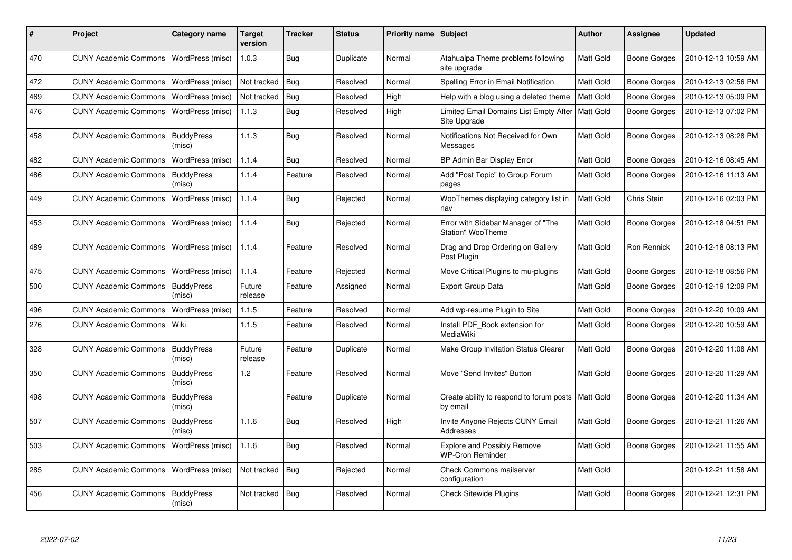| #   | <b>Project</b>               | Category name               | <b>Target</b><br>version | <b>Tracker</b> | <b>Status</b> | <b>Priority name</b> | Subject                                                 | Author           | <b>Assignee</b>     | <b>Updated</b>      |
|-----|------------------------------|-----------------------------|--------------------------|----------------|---------------|----------------------|---------------------------------------------------------|------------------|---------------------|---------------------|
| 470 | <b>CUNY Academic Commons</b> | WordPress (misc)            | 1.0.3                    | Bug            | Duplicate     | Normal               | Atahualpa Theme problems following<br>site upgrade      | Matt Gold        | Boone Gorges        | 2010-12-13 10:59 AM |
| 472 | <b>CUNY Academic Commons</b> | WordPress (misc)            | Not tracked              | Bug            | Resolved      | Normal               | Spelling Error in Email Notification                    | Matt Gold        | <b>Boone Gorges</b> | 2010-12-13 02:56 PM |
| 469 | <b>CUNY Academic Commons</b> | WordPress (misc)            | Not tracked              | Bug            | Resolved      | High                 | Help with a blog using a deleted theme                  | Matt Gold        | Boone Gorges        | 2010-12-13 05:09 PM |
| 476 | <b>CUNY Academic Commons</b> | WordPress (misc)            | 1.1.3                    | <b>Bug</b>     | Resolved      | High                 | Limited Email Domains List Empty After<br>Site Upgrade  | Matt Gold        | <b>Boone Gorges</b> | 2010-12-13 07:02 PM |
| 458 | <b>CUNY Academic Commons</b> | <b>BuddyPress</b><br>(misc) | 1.1.3                    | Bug            | Resolved      | Normal               | Notifications Not Received for Own<br>Messages          | Matt Gold        | <b>Boone Gorges</b> | 2010-12-13 08:28 PM |
| 482 | <b>CUNY Academic Commons</b> | WordPress (misc)            | 1.1.4                    | <b>Bug</b>     | Resolved      | Normal               | BP Admin Bar Display Error                              | Matt Gold        | <b>Boone Gorges</b> | 2010-12-16 08:45 AM |
| 486 | <b>CUNY Academic Commons</b> | <b>BuddyPress</b><br>(misc) | 1.1.4                    | Feature        | Resolved      | Normal               | Add "Post Topic" to Group Forum<br>pages                | Matt Gold        | Boone Gorges        | 2010-12-16 11:13 AM |
| 449 | <b>CUNY Academic Commons</b> | WordPress (misc)            | 1.1.4                    | Bug            | Rejected      | Normal               | WooThemes displaying category list in<br>nav            | Matt Gold        | Chris Stein         | 2010-12-16 02:03 PM |
| 453 | <b>CUNY Academic Commons</b> | WordPress (misc)            | 1.1.4                    | <b>Bug</b>     | Rejected      | Normal               | Error with Sidebar Manager of "The<br>Station" WooTheme | Matt Gold        | <b>Boone Gorges</b> | 2010-12-18 04:51 PM |
| 489 | <b>CUNY Academic Commons</b> | WordPress (misc)            | 1.1.4                    | Feature        | Resolved      | Normal               | Drag and Drop Ordering on Gallery<br>Post Plugin        | Matt Gold        | <b>Ron Rennick</b>  | 2010-12-18 08:13 PM |
| 475 | <b>CUNY Academic Commons</b> | WordPress (misc)            | 1.1.4                    | Feature        | Rejected      | Normal               | Move Critical Plugins to mu-plugins                     | Matt Gold        | Boone Gorges        | 2010-12-18 08:56 PM |
| 500 | <b>CUNY Academic Commons</b> | <b>BuddyPress</b><br>(misc) | Future<br>release        | Feature        | Assigned      | Normal               | <b>Export Group Data</b>                                | Matt Gold        | Boone Gorges        | 2010-12-19 12:09 PM |
| 496 | <b>CUNY Academic Commons</b> | WordPress (misc)            | 1.1.5                    | Feature        | Resolved      | Normal               | Add wp-resume Plugin to Site                            | Matt Gold        | <b>Boone Gorges</b> | 2010-12-20 10:09 AM |
| 276 | <b>CUNY Academic Commons</b> | Wiki                        | 1.1.5                    | Feature        | Resolved      | Normal               | Install PDF Book extension for<br><b>MediaWiki</b>      | Matt Gold        | Boone Gorges        | 2010-12-20 10:59 AM |
| 328 | <b>CUNY Academic Commons</b> | <b>BuddyPress</b><br>(misc) | Future<br>release        | Feature        | Duplicate     | Normal               | Make Group Invitation Status Clearer                    | Matt Gold        | <b>Boone Gorges</b> | 2010-12-20 11:08 AM |
| 350 | <b>CUNY Academic Commons</b> | <b>BuddyPress</b><br>(misc) | 1.2                      | Feature        | Resolved      | Normal               | Move "Send Invites" Button                              | Matt Gold        | Boone Gorges        | 2010-12-20 11:29 AM |
| 498 | <b>CUNY Academic Commons</b> | <b>BuddyPress</b><br>(misc) |                          | Feature        | Duplicate     | Normal               | Create ability to respond to forum posts<br>by email    | <b>Matt Gold</b> | <b>Boone Gorges</b> | 2010-12-20 11:34 AM |
| 507 | <b>CUNY Academic Commons</b> | <b>BuddyPress</b><br>(misc) | 1.1.6                    | Bug            | Resolved      | High                 | Invite Anyone Rejects CUNY Email<br>Addresses           | Matt Gold        | Boone Gorges        | 2010-12-21 11:26 AM |
| 503 | <b>CUNY Academic Commons</b> | WordPress (misc)            | 1.1.6                    | Bug            | Resolved      | Normal               | Explore and Possibly Remove<br><b>WP-Cron Reminder</b>  | Matt Gold        | <b>Boone Gorges</b> | 2010-12-21 11:55 AM |
| 285 | <b>CUNY Academic Commons</b> | WordPress (misc)            | Not tracked              | Bug            | Rejected      | Normal               | <b>Check Commons mailserver</b><br>configuration        | Matt Gold        |                     | 2010-12-21 11:58 AM |
| 456 | <b>CUNY Academic Commons</b> | <b>BuddyPress</b><br>(misc) | Not tracked              | Bug            | Resolved      | Normal               | <b>Check Sitewide Plugins</b>                           | Matt Gold        | <b>Boone Gorges</b> | 2010-12-21 12:31 PM |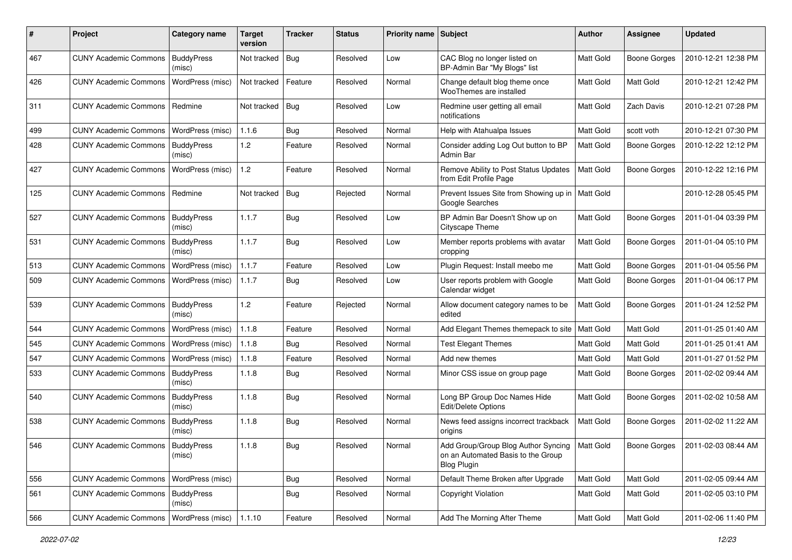| ∦   | Project                            | Category name               | <b>Target</b><br>version | <b>Tracker</b> | <b>Status</b> | Priority name Subject |                                                                                                             | <b>Author</b>    | <b>Assignee</b>     | <b>Updated</b>      |
|-----|------------------------------------|-----------------------------|--------------------------|----------------|---------------|-----------------------|-------------------------------------------------------------------------------------------------------------|------------------|---------------------|---------------------|
| 467 | <b>CUNY Academic Commons</b>       | <b>BuddyPress</b><br>(misc) | Not tracked              | <b>Bug</b>     | Resolved      | Low                   | CAC Blog no longer listed on<br>BP-Admin Bar "My Blogs" list                                                | Matt Gold        | <b>Boone Gorges</b> | 2010-12-21 12:38 PM |
| 426 | <b>CUNY Academic Commons</b>       | WordPress (misc)            | Not tracked              | Feature        | Resolved      | Normal                | Change default blog theme once<br>WooThemes are installed                                                   | <b>Matt Gold</b> | Matt Gold           | 2010-12-21 12:42 PM |
| 311 | <b>CUNY Academic Commons</b>       | Redmine                     | Not tracked   Bug        |                | Resolved      | Low                   | Redmine user getting all email<br>notifications                                                             | <b>Matt Gold</b> | Zach Davis          | 2010-12-21 07:28 PM |
| 499 | <b>CUNY Academic Commons</b>       | WordPress (misc)            | 1.1.6                    | Bug            | Resolved      | Normal                | Help with Atahualpa Issues                                                                                  | Matt Gold        | scott voth          | 2010-12-21 07:30 PM |
| 428 | <b>CUNY Academic Commons</b>       | <b>BuddyPress</b><br>(misc) | 1.2                      | Feature        | Resolved      | Normal                | Consider adding Log Out button to BP<br>Admin Bar                                                           | Matt Gold        | <b>Boone Gorges</b> | 2010-12-22 12:12 PM |
| 427 | <b>CUNY Academic Commons</b>       | WordPress (misc)            | 1.2                      | Feature        | Resolved      | Normal                | Remove Ability to Post Status Updates<br>from Edit Profile Page                                             | Matt Gold        | <b>Boone Gorges</b> | 2010-12-22 12:16 PM |
| 125 | <b>CUNY Academic Commons</b>       | Redmine                     | Not tracked   Bug        |                | Rejected      | Normal                | Prevent Issues Site from Showing up in   Matt Gold<br>Google Searches                                       |                  |                     | 2010-12-28 05:45 PM |
| 527 | <b>CUNY Academic Commons</b>       | <b>BuddyPress</b><br>(misc) | 1.1.7                    | Bug            | Resolved      | Low                   | BP Admin Bar Doesn't Show up on<br>Cityscape Theme                                                          | Matt Gold        | <b>Boone Gorges</b> | 2011-01-04 03:39 PM |
| 531 | <b>CUNY Academic Commons</b>       | <b>BuddyPress</b><br>(misc) | 1.1.7                    | <b>Bug</b>     | Resolved      | Low                   | Member reports problems with avatar<br>cropping                                                             | Matt Gold        | <b>Boone Gorges</b> | 2011-01-04 05:10 PM |
| 513 | <b>CUNY Academic Commons</b>       | WordPress (misc)            | 1.1.7                    | Feature        | Resolved      | Low                   | Plugin Request: Install meebo me                                                                            | Matt Gold        | <b>Boone Gorges</b> | 2011-01-04 05:56 PM |
| 509 | <b>CUNY Academic Commons</b>       | WordPress (misc)            | 1.1.7                    | Bug            | Resolved      | Low                   | User reports problem with Google<br>Calendar widget                                                         | Matt Gold        | Boone Gorges        | 2011-01-04 06:17 PM |
| 539 | <b>CUNY Academic Commons</b>       | <b>BuddyPress</b><br>(misc) | 1.2                      | Feature        | Rejected      | Normal                | Allow document category names to be<br>edited                                                               | Matt Gold        | <b>Boone Gorges</b> | 2011-01-24 12:52 PM |
| 544 | <b>CUNY Academic Commons</b>       | WordPress (misc)            | 1.1.8                    | Feature        | Resolved      | Normal                | Add Elegant Themes themepack to site                                                                        | Matt Gold        | Matt Gold           | 2011-01-25 01:40 AM |
| 545 | <b>CUNY Academic Commons</b>       | WordPress (misc)            | 1.1.8                    | <b>Bug</b>     | Resolved      | Normal                | <b>Test Elegant Themes</b>                                                                                  | Matt Gold        | Matt Gold           | 2011-01-25 01:41 AM |
| 547 | <b>CUNY Academic Commons</b>       | WordPress (misc)            | 1.1.8                    | Feature        | Resolved      | Normal                | Add new themes                                                                                              | Matt Gold        | Matt Gold           | 2011-01-27 01:52 PM |
| 533 | <b>CUNY Academic Commons</b>       | <b>BuddyPress</b><br>(misc) | 1.1.8                    | Bug            | Resolved      | Normal                | Minor CSS issue on group page                                                                               | Matt Gold        | <b>Boone Gorges</b> | 2011-02-02 09:44 AM |
| 540 | <b>CUNY Academic Commons</b>       | <b>BuddyPress</b><br>(misc) | 1.1.8                    | Bug            | Resolved      | Normal                | Long BP Group Doc Names Hide<br>Edit/Delete Options                                                         | Matt Gold        | <b>Boone Gorges</b> | 2011-02-02 10:58 AM |
| 538 | <b>CUNY Academic Commons</b>       | <b>BuddyPress</b><br>(misc) | 1.1.8                    | Bug            | Resolved      | Normal                | News feed assigns incorrect trackback<br>origins                                                            | Matt Gold        | Boone Gorges        | 2011-02-02 11:22 AM |
| 546 | CUNY Academic Commons   BuddyPress | (misc)                      | 1.1.8                    | Bug            | Resolved      | Normal                | Add Group/Group Blog Author Syncing   Matt Gold<br>on an Automated Basis to the Group<br><b>Blog Plugin</b> |                  | Boone Gorges        | 2011-02-03 08:44 AM |
| 556 | <b>CUNY Academic Commons</b>       | WordPress (misc)            |                          | Bug            | Resolved      | Normal                | Default Theme Broken after Upgrade                                                                          | Matt Gold        | Matt Gold           | 2011-02-05 09:44 AM |
| 561 | <b>CUNY Academic Commons</b>       | <b>BuddyPress</b><br>(misc) |                          | Bug            | Resolved      | Normal                | <b>Copyright Violation</b>                                                                                  | Matt Gold        | Matt Gold           | 2011-02-05 03:10 PM |
| 566 | <b>CUNY Academic Commons</b>       | WordPress (misc)            | 1.1.10                   | Feature        | Resolved      | Normal                | Add The Morning After Theme                                                                                 | Matt Gold        | Matt Gold           | 2011-02-06 11:40 PM |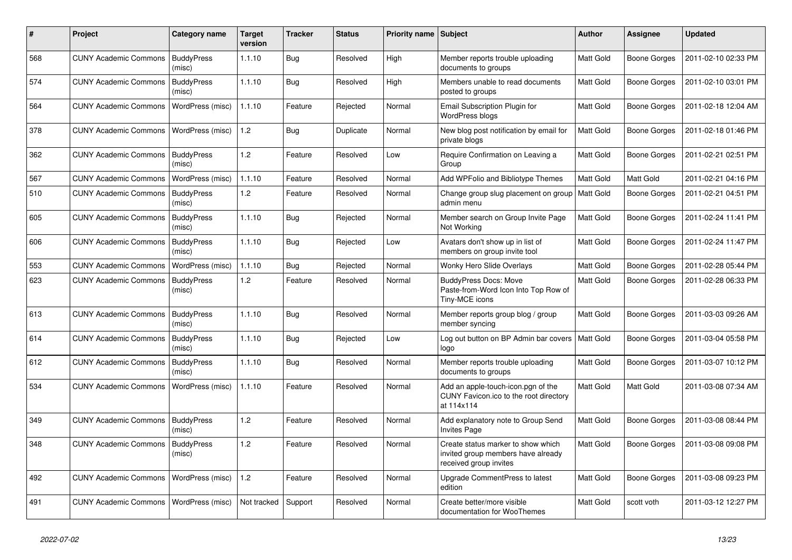| $\#$ | Project                      | Category name               | Target<br>version | <b>Tracker</b> | <b>Status</b> | Priority name Subject |                                                                                                    | <b>Author</b>    | <b>Assignee</b>     | <b>Updated</b>      |
|------|------------------------------|-----------------------------|-------------------|----------------|---------------|-----------------------|----------------------------------------------------------------------------------------------------|------------------|---------------------|---------------------|
| 568  | <b>CUNY Academic Commons</b> | <b>BuddyPress</b><br>(misc) | 1.1.10            | Bug            | Resolved      | High                  | Member reports trouble uploading<br>documents to groups                                            | <b>Matt Gold</b> | Boone Gorges        | 2011-02-10 02:33 PM |
| 574  | <b>CUNY Academic Commons</b> | <b>BuddyPress</b><br>(misc) | 1.1.10            | Bug            | Resolved      | High                  | Members unable to read documents<br>posted to groups                                               | <b>Matt Gold</b> | Boone Gorges        | 2011-02-10 03:01 PM |
| 564  | <b>CUNY Academic Commons</b> | WordPress (misc)            | 1.1.10            | Feature        | Rejected      | Normal                | Email Subscription Plugin for<br><b>WordPress blogs</b>                                            | <b>Matt Gold</b> | <b>Boone Gorges</b> | 2011-02-18 12:04 AM |
| 378  | <b>CUNY Academic Commons</b> | WordPress (misc)            | 1.2               | <b>Bug</b>     | Duplicate     | Normal                | New blog post notification by email for<br>private blogs                                           | Matt Gold        | <b>Boone Gorges</b> | 2011-02-18 01:46 PM |
| 362  | <b>CUNY Academic Commons</b> | <b>BuddyPress</b><br>(misc) | 1.2               | Feature        | Resolved      | Low                   | Require Confirmation on Leaving a<br>Group                                                         | Matt Gold        | <b>Boone Gorges</b> | 2011-02-21 02:51 PM |
| 567  | <b>CUNY Academic Commons</b> | WordPress (misc)            | 1.1.10            | Feature        | Resolved      | Normal                | Add WPFolio and Bibliotype Themes                                                                  | Matt Gold        | Matt Gold           | 2011-02-21 04:16 PM |
| 510  | <b>CUNY Academic Commons</b> | <b>BuddyPress</b><br>(misc) | 1.2               | Feature        | Resolved      | Normal                | Change group slug placement on group   Matt Gold<br>admin menu                                     |                  | Boone Gorges        | 2011-02-21 04:51 PM |
| 605  | <b>CUNY Academic Commons</b> | <b>BuddyPress</b><br>(misc) | 1.1.10            | <b>Bug</b>     | Rejected      | Normal                | Member search on Group Invite Page<br>Not Working                                                  | <b>Matt Gold</b> | Boone Gorges        | 2011-02-24 11:41 PM |
| 606  | <b>CUNY Academic Commons</b> | <b>BuddyPress</b><br>(misc) | 1.1.10            | <b>Bug</b>     | Rejected      | Low                   | Avatars don't show up in list of<br>members on group invite tool                                   | Matt Gold        | Boone Gorges        | 2011-02-24 11:47 PM |
| 553  | <b>CUNY Academic Commons</b> | WordPress (misc)            | 1.1.10            | <b>Bug</b>     | Rejected      | Normal                | Wonky Hero Slide Overlays                                                                          | Matt Gold        | <b>Boone Gorges</b> | 2011-02-28 05:44 PM |
| 623  | <b>CUNY Academic Commons</b> | <b>BuddyPress</b><br>(misc) | 1.2               | Feature        | Resolved      | Normal                | <b>BuddyPress Docs: Move</b><br>Paste-from-Word Icon Into Top Row of<br>Tiny-MCE icons             | <b>Matt Gold</b> | Boone Gorges        | 2011-02-28 06:33 PM |
| 613  | <b>CUNY Academic Commons</b> | <b>BuddyPress</b><br>(misc) | 1.1.10            | Bug            | Resolved      | Normal                | Member reports group blog / group<br>member syncing                                                | <b>Matt Gold</b> | <b>Boone Gorges</b> | 2011-03-03 09:26 AM |
| 614  | <b>CUNY Academic Commons</b> | <b>BuddyPress</b><br>(misc) | 1.1.10            | <b>Bug</b>     | Rejected      | Low                   | Log out button on BP Admin bar covers<br>logo                                                      | Matt Gold        | <b>Boone Gorges</b> | 2011-03-04 05:58 PM |
| 612  | <b>CUNY Academic Commons</b> | <b>BuddyPress</b><br>(misc) | 1.1.10            | <b>Bug</b>     | Resolved      | Normal                | Member reports trouble uploading<br>documents to groups                                            | <b>Matt Gold</b> | <b>Boone Gorges</b> | 2011-03-07 10:12 PM |
| 534  | <b>CUNY Academic Commons</b> | WordPress (misc)            | 1.1.10            | Feature        | Resolved      | Normal                | Add an apple-touch-icon.pgn of the<br>CUNY Favicon.ico to the root directory<br>at 114x114         | Matt Gold        | Matt Gold           | 2011-03-08 07:34 AM |
| 349  | <b>CUNY Academic Commons</b> | <b>BuddyPress</b><br>(misc) | 1.2               | Feature        | Resolved      | Normal                | Add explanatory note to Group Send<br><b>Invites Page</b>                                          | Matt Gold        | Boone Gorges        | 2011-03-08 08:44 PM |
| 348  | <b>CUNY Academic Commons</b> | <b>BuddyPress</b><br>(misc) | 1.2               | Feature        | Resolved      | Normal                | Create status marker to show which<br>invited group members have already<br>received group invites | Matt Gold        | Boone Gorges        | 2011-03-08 09:08 PM |
| 492  | <b>CUNY Academic Commons</b> | WordPress (misc)            | 1.2               | Feature        | Resolved      | Normal                | Upgrade CommentPress to latest<br>edition                                                          | <b>Matt Gold</b> | <b>Boone Gorges</b> | 2011-03-08 09:23 PM |
| 491  | <b>CUNY Academic Commons</b> | WordPress (misc)            | Not tracked       | Support        | Resolved      | Normal                | Create better/more visible<br>documentation for WooThemes                                          | Matt Gold        | scott voth          | 2011-03-12 12:27 PM |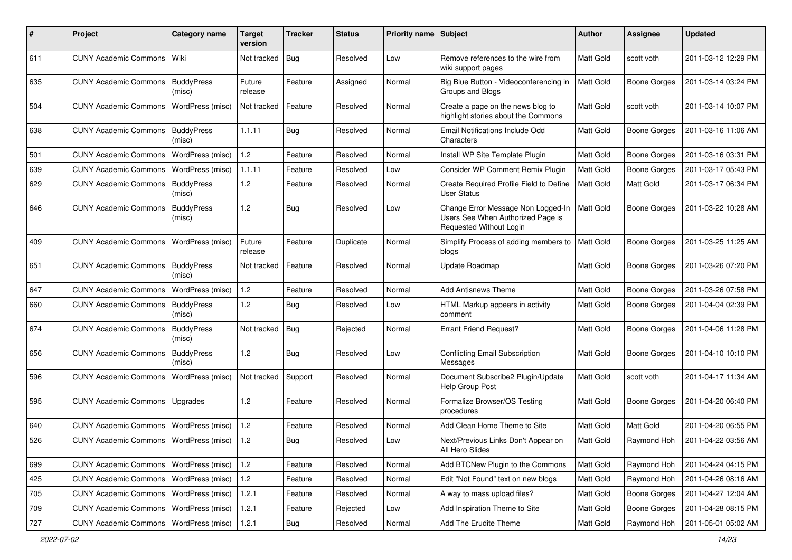| #   | Project                                  | Category name               | Target<br>version | <b>Tracker</b> | <b>Status</b> | Priority name Subject |                                                                                                    | <b>Author</b>    | <b>Assignee</b>     | <b>Updated</b>      |
|-----|------------------------------------------|-----------------------------|-------------------|----------------|---------------|-----------------------|----------------------------------------------------------------------------------------------------|------------------|---------------------|---------------------|
| 611 | <b>CUNY Academic Commons</b>             | Wiki                        | Not tracked       | Bug            | Resolved      | Low                   | Remove references to the wire from<br>wiki support pages                                           | Matt Gold        | scott voth          | 2011-03-12 12:29 PM |
| 635 | <b>CUNY Academic Commons</b>             | <b>BuddyPress</b><br>(misc) | Future<br>release | Feature        | Assigned      | Normal                | Big Blue Button - Videoconferencing in<br>Groups and Blogs                                         | Matt Gold        | <b>Boone Gorges</b> | 2011-03-14 03:24 PM |
| 504 | <b>CUNY Academic Commons</b>             | WordPress (misc)            | Not tracked       | Feature        | Resolved      | Normal                | Create a page on the news blog to<br>highlight stories about the Commons                           | <b>Matt Gold</b> | scott voth          | 2011-03-14 10:07 PM |
| 638 | <b>CUNY Academic Commons</b>             | <b>BuddyPress</b><br>(misc) | 1.1.11            | <b>Bug</b>     | Resolved      | Normal                | Email Notifications Include Odd<br>Characters                                                      | Matt Gold        | <b>Boone Gorges</b> | 2011-03-16 11:06 AM |
| 501 | <b>CUNY Academic Commons</b>             | WordPress (misc)            | $1.2$             | Feature        | Resolved      | Normal                | Install WP Site Template Plugin                                                                    | Matt Gold        | <b>Boone Gorges</b> | 2011-03-16 03:31 PM |
| 639 | <b>CUNY Academic Commons</b>             | WordPress (misc)            | 1.1.11            | Feature        | Resolved      | Low                   | Consider WP Comment Remix Plugin                                                                   | Matt Gold        | <b>Boone Gorges</b> | 2011-03-17 05:43 PM |
| 629 | <b>CUNY Academic Commons</b>             | <b>BuddyPress</b><br>(misc) | $1.2$             | Feature        | Resolved      | Normal                | Create Required Profile Field to Define<br><b>User Status</b>                                      | Matt Gold        | Matt Gold           | 2011-03-17 06:34 PM |
| 646 | <b>CUNY Academic Commons</b>             | <b>BuddyPress</b><br>(misc) | 1.2               | <b>Bug</b>     | Resolved      | Low                   | Change Error Message Non Logged-In<br>Users See When Authorized Page is<br>Requested Without Login | <b>Matt Gold</b> | <b>Boone Gorges</b> | 2011-03-22 10:28 AM |
| 409 | <b>CUNY Academic Commons</b>             | WordPress (misc)            | Future<br>release | Feature        | Duplicate     | Normal                | Simplify Process of adding members to<br>blogs                                                     | Matt Gold        | <b>Boone Gorges</b> | 2011-03-25 11:25 AM |
| 651 | <b>CUNY Academic Commons</b>             | <b>BuddyPress</b><br>(misc) | Not tracked       | Feature        | Resolved      | Normal                | Update Roadmap                                                                                     | Matt Gold        | <b>Boone Gorges</b> | 2011-03-26 07:20 PM |
| 647 | <b>CUNY Academic Commons</b>             | WordPress (misc)            | 1.2               | Feature        | Resolved      | Normal                | <b>Add Antisnews Theme</b>                                                                         | Matt Gold        | <b>Boone Gorges</b> | 2011-03-26 07:58 PM |
| 660 | <b>CUNY Academic Commons</b>             | <b>BuddyPress</b><br>(misc) | 1.2               | Bug            | Resolved      | Low                   | HTML Markup appears in activity<br>comment                                                         | Matt Gold        | <b>Boone Gorges</b> | 2011-04-04 02:39 PM |
| 674 | <b>CUNY Academic Commons</b>             | <b>BuddyPress</b><br>(misc) | Not tracked   Bug |                | Rejected      | Normal                | <b>Errant Friend Request?</b>                                                                      | <b>Matt Gold</b> | <b>Boone Gorges</b> | 2011-04-06 11:28 PM |
| 656 | <b>CUNY Academic Commons</b>             | <b>BuddyPress</b><br>(misc) | 1.2               | <b>Bug</b>     | Resolved      | Low                   | <b>Conflicting Email Subscription</b><br>Messages                                                  | Matt Gold        | <b>Boone Gorges</b> | 2011-04-10 10:10 PM |
| 596 | <b>CUNY Academic Commons</b>             | WordPress (misc)            | Not tracked       | Support        | Resolved      | Normal                | Document Subscribe2 Plugin/Update<br>Help Group Post                                               | Matt Gold        | scott voth          | 2011-04-17 11:34 AM |
| 595 | <b>CUNY Academic Commons</b>             | Upgrades                    | 1.2               | Feature        | Resolved      | Normal                | Formalize Browser/OS Testing<br>procedures                                                         | Matt Gold        | <b>Boone Gorges</b> | 2011-04-20 06:40 PM |
| 640 | <b>CUNY Academic Commons</b>             | WordPress (misc)            | 1.2               | Feature        | Resolved      | Normal                | Add Clean Home Theme to Site                                                                       | Matt Gold        | Matt Gold           | 2011-04-20 06:55 PM |
| 526 | <b>CUNY Academic Commons</b>             | <b>WordPress (misc)</b>     | 1.2               | <b>Bug</b>     | Resolved      | Low                   | Next/Previous Links Don't Appear on<br>All Hero Slides                                             | Matt Gold        | Raymond Hoh         | 2011-04-22 03:56 AM |
| 699 | <b>CUNY Academic Commons</b>             | WordPress (misc)            | $1.2$             | Feature        | Resolved      | Normal                | Add BTCNew Plugin to the Commons                                                                   | Matt Gold        | Raymond Hoh         | 2011-04-24 04:15 PM |
| 425 | <b>CUNY Academic Commons</b>             | <b>WordPress (misc)</b>     | $1.2\,$           | Feature        | Resolved      | Normal                | Edit "Not Found" text on new blogs                                                                 | Matt Gold        | Raymond Hoh         | 2011-04-26 08:16 AM |
| 705 | <b>CUNY Academic Commons</b>             | WordPress (misc)            | 1.2.1             | Feature        | Resolved      | Normal                | A way to mass upload files?                                                                        | Matt Gold        | Boone Gorges        | 2011-04-27 12:04 AM |
| 709 | CUNY Academic Commons   WordPress (misc) |                             | 1.2.1             | Feature        | Rejected      | Low                   | Add Inspiration Theme to Site                                                                      | Matt Gold        | Boone Gorges        | 2011-04-28 08:15 PM |
| 727 | <b>CUNY Academic Commons</b>             | WordPress (misc)            | 1.2.1             | Bug            | Resolved      | Normal                | Add The Erudite Theme                                                                              | Matt Gold        | Raymond Hoh         | 2011-05-01 05:02 AM |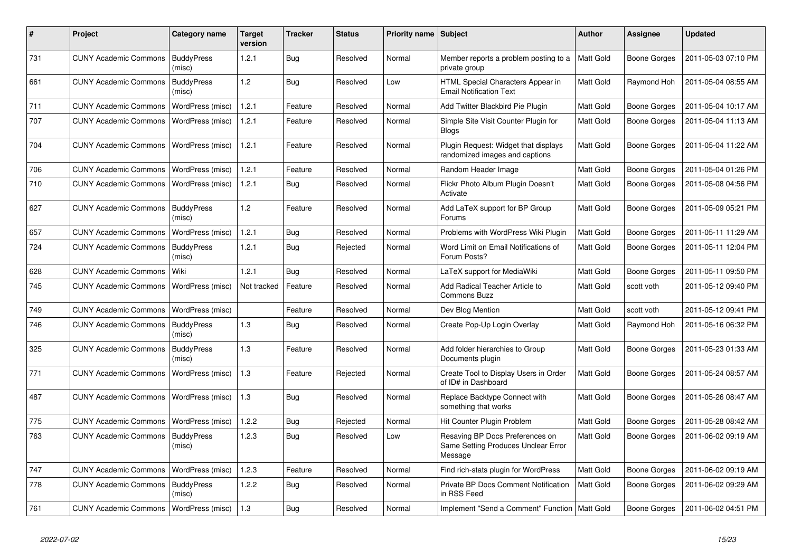| #   | Project                                  | Category name               | Target<br>version | Tracker    | <b>Status</b> | Priority name Subject |                                                                                   | <b>Author</b>    | <b>Assignee</b>     | <b>Updated</b>      |
|-----|------------------------------------------|-----------------------------|-------------------|------------|---------------|-----------------------|-----------------------------------------------------------------------------------|------------------|---------------------|---------------------|
| 731 | <b>CUNY Academic Commons</b>             | <b>BuddyPress</b><br>(misc) | 1.2.1             | Bug        | Resolved      | Normal                | Member reports a problem posting to a<br>private group                            | Matt Gold        | Boone Gorges        | 2011-05-03 07:10 PM |
| 661 | <b>CUNY Academic Commons</b>             | <b>BuddyPress</b><br>(misc) | 1.2               | <b>Bug</b> | Resolved      | Low                   | HTML Special Characters Appear in<br><b>Email Notification Text</b>               | Matt Gold        | Raymond Hoh         | 2011-05-04 08:55 AM |
| 711 | <b>CUNY Academic Commons</b>             | WordPress (misc)            | 1.2.1             | Feature    | Resolved      | Normal                | Add Twitter Blackbird Pie Plugin                                                  | Matt Gold        | <b>Boone Gorges</b> | 2011-05-04 10:17 AM |
| 707 | <b>CUNY Academic Commons</b>             | WordPress (misc)            | 1.2.1             | Feature    | Resolved      | Normal                | Simple Site Visit Counter Plugin for<br><b>Blogs</b>                              | Matt Gold        | Boone Gorges        | 2011-05-04 11:13 AM |
| 704 | <b>CUNY Academic Commons</b>             | WordPress (misc)            | 1.2.1             | Feature    | Resolved      | Normal                | Plugin Request: Widget that displays<br>randomized images and captions            | <b>Matt Gold</b> | <b>Boone Gorges</b> | 2011-05-04 11:22 AM |
| 706 | <b>CUNY Academic Commons</b>             | WordPress (misc)            | 1.2.1             | Feature    | Resolved      | Normal                | Random Header Image                                                               | Matt Gold        | Boone Gorges        | 2011-05-04 01:26 PM |
| 710 | <b>CUNY Academic Commons</b>             | WordPress (misc)            | 1.2.1             | <b>Bug</b> | Resolved      | Normal                | Flickr Photo Album Plugin Doesn't<br>Activate                                     | Matt Gold        | Boone Gorges        | 2011-05-08 04:56 PM |
| 627 | <b>CUNY Academic Commons</b>             | <b>BuddyPress</b><br>(misc) | 1.2               | Feature    | Resolved      | Normal                | Add LaTeX support for BP Group<br>Forums                                          | <b>Matt Gold</b> | <b>Boone Gorges</b> | 2011-05-09 05:21 PM |
| 657 | <b>CUNY Academic Commons</b>             | WordPress (misc)            | 1.2.1             | Bug        | Resolved      | Normal                | Problems with WordPress Wiki Plugin                                               | Matt Gold        | <b>Boone Gorges</b> | 2011-05-11 11:29 AM |
| 724 | <b>CUNY Academic Commons</b>             | <b>BuddyPress</b><br>(misc) | 1.2.1             | <b>Bug</b> | Rejected      | Normal                | Word Limit on Email Notifications of<br>Forum Posts?                              | Matt Gold        | Boone Gorges        | 2011-05-11 12:04 PM |
| 628 | <b>CUNY Academic Commons</b>             | Wiki                        | 1.2.1             | Bug        | Resolved      | Normal                | LaTeX support for MediaWiki                                                       | Matt Gold        | Boone Gorges        | 2011-05-11 09:50 PM |
| 745 | <b>CUNY Academic Commons</b>             | WordPress (misc)            | Not tracked       | Feature    | Resolved      | Normal                | Add Radical Teacher Article to<br>Commons Buzz                                    | Matt Gold        | scott voth          | 2011-05-12 09:40 PM |
| 749 | <b>CUNY Academic Commons</b>             | WordPress (misc)            |                   | Feature    | Resolved      | Normal                | Dev Blog Mention                                                                  | <b>Matt Gold</b> | scott voth          | 2011-05-12 09:41 PM |
| 746 | <b>CUNY Academic Commons</b>             | <b>BuddyPress</b><br>(misc) | 1.3               | Bug        | Resolved      | Normal                | Create Pop-Up Login Overlay                                                       | Matt Gold        | Raymond Hoh         | 2011-05-16 06:32 PM |
| 325 | <b>CUNY Academic Commons</b>             | <b>BuddyPress</b><br>(misc) | 1.3               | Feature    | Resolved      | Normal                | Add folder hierarchies to Group<br>Documents plugin                               | Matt Gold        | <b>Boone Gorges</b> | 2011-05-23 01:33 AM |
| 771 | <b>CUNY Academic Commons</b>             | WordPress (misc)            | 1.3               | Feature    | Rejected      | Normal                | Create Tool to Display Users in Order<br>of ID# in Dashboard                      | Matt Gold        | <b>Boone Gorges</b> | 2011-05-24 08:57 AM |
| 487 | <b>CUNY Academic Commons</b>             | WordPress (misc)            | 1.3               | Bug        | Resolved      | Normal                | Replace Backtype Connect with<br>something that works                             | Matt Gold        | <b>Boone Gorges</b> | 2011-05-26 08:47 AM |
| 775 | <b>CUNY Academic Commons</b>             | WordPress (misc)            | 1.2.2             | <b>Bug</b> | Rejected      | Normal                | Hit Counter Plugin Problem                                                        | <b>Matt Gold</b> | <b>Boone Gorges</b> | 2011-05-28 08:42 AM |
| 763 | <b>CUNY Academic Commons</b>             | <b>BuddyPress</b><br>(misc) | 1.2.3             | Bug        | Resolved      | Low                   | Resaving BP Docs Preferences on<br>Same Setting Produces Unclear Error<br>Message | Matt Gold        | Boone Gorges        | 2011-06-02 09:19 AM |
| 747 | <b>CUNY Academic Commons</b>             | WordPress (misc)            | 1.2.3             | Feature    | Resolved      | Normal                | Find rich-stats plugin for WordPress                                              | Matt Gold        | Boone Gorges        | 2011-06-02 09:19 AM |
| 778 | <b>CUNY Academic Commons</b>             | <b>BuddyPress</b><br>(misc) | 1.2.2             | Bug        | Resolved      | Normal                | <b>Private BP Docs Comment Notification</b><br>in RSS Feed                        | <b>Matt Gold</b> | Boone Gorges        | 2011-06-02 09:29 AM |
| 761 | CUNY Academic Commons   WordPress (misc) |                             | 1.3               | Bug        | Resolved      | Normal                | Implement "Send a Comment" Function   Matt Gold                                   |                  | <b>Boone Gorges</b> | 2011-06-02 04:51 PM |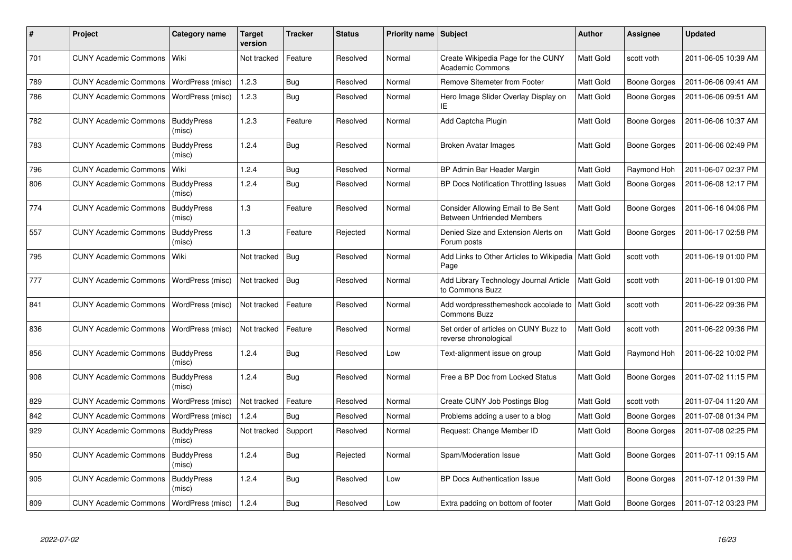| #   | <b>Project</b>                           | Category name               | <b>Target</b><br>version | <b>Tracker</b> | <b>Status</b> | <b>Priority name</b> | Subject                                                                 | <b>Author</b>    | Assignee            | <b>Updated</b>      |
|-----|------------------------------------------|-----------------------------|--------------------------|----------------|---------------|----------------------|-------------------------------------------------------------------------|------------------|---------------------|---------------------|
| 701 | <b>CUNY Academic Commons</b>             | Wiki                        | Not tracked              | Feature        | Resolved      | Normal               | Create Wikipedia Page for the CUNY<br><b>Academic Commons</b>           | Matt Gold        | scott voth          | 2011-06-05 10:39 AM |
| 789 | <b>CUNY Academic Commons</b>             | WordPress (misc)            | 1.2.3                    | Bug            | Resolved      | Normal               | Remove Sitemeter from Footer                                            | Matt Gold        | <b>Boone Gorges</b> | 2011-06-06 09:41 AM |
| 786 | <b>CUNY Academic Commons</b>             | WordPress (misc)            | 1.2.3                    | Bug            | Resolved      | Normal               | Hero Image Slider Overlay Display on<br>ΙE                              | Matt Gold        | Boone Gorges        | 2011-06-06 09:51 AM |
| 782 | <b>CUNY Academic Commons</b>             | <b>BuddyPress</b><br>(misc) | 1.2.3                    | Feature        | Resolved      | Normal               | Add Captcha Plugin                                                      | Matt Gold        | <b>Boone Gorges</b> | 2011-06-06 10:37 AM |
| 783 | <b>CUNY Academic Commons</b>             | <b>BuddyPress</b><br>(misc) | 1.2.4                    | Bug            | Resolved      | Normal               | <b>Broken Avatar Images</b>                                             | Matt Gold        | Boone Gorges        | 2011-06-06 02:49 PM |
| 796 | <b>CUNY Academic Commons</b>             | Wiki                        | 1.2.4                    | Bug            | Resolved      | Normal               | BP Admin Bar Header Margin                                              | Matt Gold        | Raymond Hoh         | 2011-06-07 02:37 PM |
| 806 | <b>CUNY Academic Commons</b>             | <b>BuddyPress</b><br>(misc) | 1.2.4                    | <b>Bug</b>     | Resolved      | Normal               | BP Docs Notification Throttling Issues                                  | Matt Gold        | Boone Gorges        | 2011-06-08 12:17 PM |
| 774 | <b>CUNY Academic Commons</b>             | <b>BuddyPress</b><br>(misc) | 1.3                      | Feature        | Resolved      | Normal               | Consider Allowing Email to Be Sent<br><b>Between Unfriended Members</b> | Matt Gold        | <b>Boone Gorges</b> | 2011-06-16 04:06 PM |
| 557 | <b>CUNY Academic Commons</b>             | <b>BuddyPress</b><br>(misc) | 1.3                      | Feature        | Rejected      | Normal               | Denied Size and Extension Alerts on<br>Forum posts                      | Matt Gold        | <b>Boone Gorges</b> | 2011-06-17 02:58 PM |
| 795 | <b>CUNY Academic Commons</b>             | Wiki                        | Not tracked              | Bug            | Resolved      | Normal               | Add Links to Other Articles to Wikipedia<br>Page                        | <b>Matt Gold</b> | scott voth          | 2011-06-19 01:00 PM |
| 777 | <b>CUNY Academic Commons</b>             | WordPress (misc)            | Not tracked              | Bug            | Resolved      | Normal               | Add Library Technology Journal Article<br>to Commons Buzz               | Matt Gold        | scott voth          | 2011-06-19 01:00 PM |
| 841 | <b>CUNY Academic Commons</b>             | WordPress (misc)            | Not tracked              | Feature        | Resolved      | Normal               | Add wordpressthemeshock accolade to<br><b>Commons Buzz</b>              | <b>Matt Gold</b> | scott voth          | 2011-06-22 09:36 PM |
| 836 | <b>CUNY Academic Commons</b>             | WordPress (misc)            | Not tracked              | Feature        | Resolved      | Normal               | Set order of articles on CUNY Buzz to<br>reverse chronological          | Matt Gold        | scott voth          | 2011-06-22 09:36 PM |
| 856 | <b>CUNY Academic Commons</b>             | <b>BuddyPress</b><br>(misc) | 1.2.4                    | Bug            | Resolved      | Low                  | Text-alignment issue on group                                           | Matt Gold        | Raymond Hoh         | 2011-06-22 10:02 PM |
| 908 | <b>CUNY Academic Commons</b>             | <b>BuddyPress</b><br>(misc) | 1.2.4                    | Bug            | Resolved      | Normal               | Free a BP Doc from Locked Status                                        | Matt Gold        | <b>Boone Gorges</b> | 2011-07-02 11:15 PM |
| 829 | <b>CUNY Academic Commons</b>             | WordPress (misc)            | Not tracked              | Feature        | Resolved      | Normal               | Create CUNY Job Postings Blog                                           | Matt Gold        | scott voth          | 2011-07-04 11:20 AM |
| 842 | <b>CUNY Academic Commons</b>             | WordPress (misc)            | 1.2.4                    | Bug            | Resolved      | Normal               | Problems adding a user to a blog                                        | Matt Gold        | Boone Gorges        | 2011-07-08 01:34 PM |
| 929 | <b>CUNY Academic Commons</b>             | <b>BuddyPress</b><br>(misc) | Not tracked              | Support        | Resolved      | Normal               | Request: Change Member ID                                               | Matt Gold        | <b>Boone Gorges</b> | 2011-07-08 02:25 PM |
| 950 | <b>CUNY Academic Commons</b>             | <b>BuddyPress</b><br>(misc) | 1.2.4                    | Bug            | Rejected      | Normal               | Spam/Moderation Issue                                                   | Matt Gold        | <b>Boone Gorges</b> | 2011-07-11 09:15 AM |
| 905 | <b>CUNY Academic Commons</b>             | <b>BuddyPress</b><br>(misc) | 1.2.4                    | Bug            | Resolved      | Low                  | <b>BP Docs Authentication Issue</b>                                     | Matt Gold        | Boone Gorges        | 2011-07-12 01:39 PM |
| 809 | CUNY Academic Commons   WordPress (misc) |                             | 1.2.4                    | Bug            | Resolved      | Low                  | Extra padding on bottom of footer                                       | Matt Gold        | <b>Boone Gorges</b> | 2011-07-12 03:23 PM |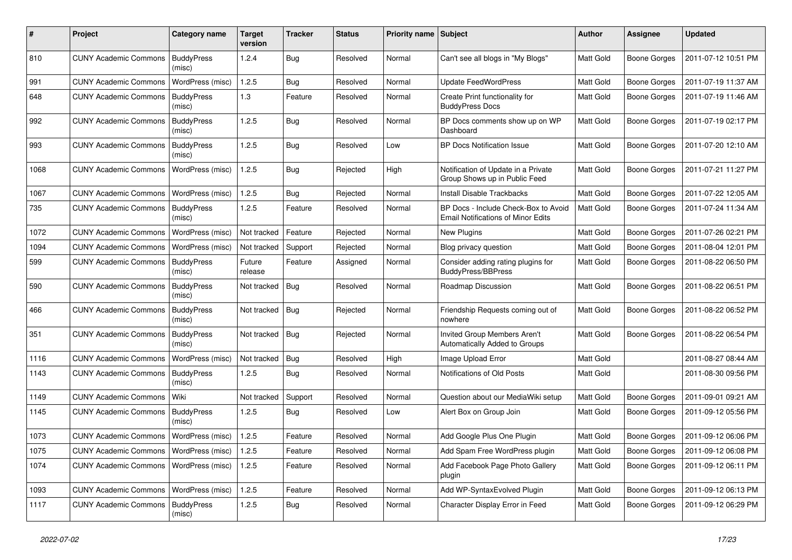| #    | Project                                   | Category name               | Target<br>version | <b>Tracker</b> | <b>Status</b> | <b>Priority name</b> | Subject                                                                           | <b>Author</b>    | Assignee            | <b>Updated</b>      |
|------|-------------------------------------------|-----------------------------|-------------------|----------------|---------------|----------------------|-----------------------------------------------------------------------------------|------------------|---------------------|---------------------|
| 810  | <b>CUNY Academic Commons</b>              | <b>BuddyPress</b><br>(misc) | 1.2.4             | Bug            | Resolved      | Normal               | Can't see all blogs in "My Blogs"                                                 | Matt Gold        | <b>Boone Gorges</b> | 2011-07-12 10:51 PM |
| 991  | <b>CUNY Academic Commons</b>              | WordPress (misc)            | 1.2.5             | <b>Bug</b>     | Resolved      | Normal               | <b>Update FeedWordPress</b>                                                       | Matt Gold        | <b>Boone Gorges</b> | 2011-07-19 11:37 AM |
| 648  | <b>CUNY Academic Commons</b>              | <b>BuddyPress</b><br>(misc) | 1.3               | Feature        | Resolved      | Normal               | Create Print functionality for<br><b>BuddyPress Docs</b>                          | Matt Gold        | <b>Boone Gorges</b> | 2011-07-19 11:46 AM |
| 992  | <b>CUNY Academic Commons</b>              | <b>BuddyPress</b><br>(misc) | 1.2.5             | Bug            | Resolved      | Normal               | BP Docs comments show up on WP<br>Dashboard                                       | Matt Gold        | <b>Boone Gorges</b> | 2011-07-19 02:17 PM |
| 993  | <b>CUNY Academic Commons</b>              | <b>BuddyPress</b><br>(misc) | 1.2.5             | <b>Bug</b>     | Resolved      | Low                  | <b>BP Docs Notification Issue</b>                                                 | Matt Gold        | <b>Boone Gorges</b> | 2011-07-20 12:10 AM |
| 1068 | <b>CUNY Academic Commons</b>              | WordPress (misc)            | 1.2.5             | <b>Bug</b>     | Rejected      | High                 | Notification of Update in a Private<br>Group Shows up in Public Feed              | Matt Gold        | <b>Boone Gorges</b> | 2011-07-21 11:27 PM |
| 1067 | <b>CUNY Academic Commons</b>              | WordPress (misc)            | 1.2.5             | <b>Bug</b>     | Rejected      | Normal               | Install Disable Trackbacks                                                        | Matt Gold        | <b>Boone Gorges</b> | 2011-07-22 12:05 AM |
| 735  | <b>CUNY Academic Commons</b>              | <b>BuddyPress</b><br>(misc) | 1.2.5             | Feature        | Resolved      | Normal               | BP Docs - Include Check-Box to Avoid<br><b>Email Notifications of Minor Edits</b> | Matt Gold        | <b>Boone Gorges</b> | 2011-07-24 11:34 AM |
| 1072 | <b>CUNY Academic Commons</b>              | WordPress (misc)            | Not tracked       | Feature        | Rejected      | Normal               | New Plugins                                                                       | Matt Gold        | <b>Boone Gorges</b> | 2011-07-26 02:21 PM |
| 1094 | <b>CUNY Academic Commons</b>              | WordPress (misc)            | Not tracked       | Support        | Rejected      | Normal               | Blog privacy question                                                             | <b>Matt Gold</b> | <b>Boone Gorges</b> | 2011-08-04 12:01 PM |
| 599  | <b>CUNY Academic Commons</b>              | <b>BuddyPress</b><br>(misc) | Future<br>release | Feature        | Assigned      | Normal               | Consider adding rating plugins for<br><b>BuddyPress/BBPress</b>                   | Matt Gold        | <b>Boone Gorges</b> | 2011-08-22 06:50 PM |
| 590  | <b>CUNY Academic Commons</b>              | <b>BuddyPress</b><br>(misc) | Not tracked       | Bug            | Resolved      | Normal               | Roadmap Discussion                                                                | Matt Gold        | <b>Boone Gorges</b> | 2011-08-22 06:51 PM |
| 466  | <b>CUNY Academic Commons</b>              | <b>BuddyPress</b><br>(misc) | Not tracked       | <b>Bug</b>     | Rejected      | Normal               | Friendship Requests coming out of<br>nowhere                                      | Matt Gold        | <b>Boone Gorges</b> | 2011-08-22 06:52 PM |
| 351  | <b>CUNY Academic Commons</b>              | <b>BuddyPress</b><br>(misc) | Not tracked       | Bug            | Rejected      | Normal               | Invited Group Members Aren't<br>Automatically Added to Groups                     | Matt Gold        | <b>Boone Gorges</b> | 2011-08-22 06:54 PM |
| 1116 | <b>CUNY Academic Commons</b>              | WordPress (misc)            | Not tracked       | Bug            | Resolved      | High                 | Image Upload Error                                                                | Matt Gold        |                     | 2011-08-27 08:44 AM |
| 1143 | <b>CUNY Academic Commons</b>              | <b>BuddyPress</b><br>(misc) | 1.2.5             | <b>Bug</b>     | Resolved      | Normal               | Notifications of Old Posts                                                        | Matt Gold        |                     | 2011-08-30 09:56 PM |
| 1149 | <b>CUNY Academic Commons</b>              | Wiki                        | Not tracked       | Support        | Resolved      | Normal               | Question about our MediaWiki setup                                                | Matt Gold        | <b>Boone Gorges</b> | 2011-09-01 09:21 AM |
| 1145 | <b>CUNY Academic Commons</b>              | <b>BuddyPress</b><br>(misc) | 1.2.5             | <b>Bug</b>     | Resolved      | Low                  | Alert Box on Group Join                                                           | Matt Gold        | <b>Boone Gorges</b> | 2011-09-12 05:56 PM |
| 1073 | <b>CUNY Academic Commons</b>              | WordPress (misc)            | 1.2.5             | Feature        | Resolved      | Normal               | Add Google Plus One Plugin                                                        | Matt Gold        | <b>Boone Gorges</b> | 2011-09-12 06:06 PM |
| 1075 | CUNY Academic Commons   WordPress (misc)  |                             | 1.2.5             | Feature        | Resolved      | Normal               | Add Spam Free WordPress plugin                                                    | Matt Gold        | <b>Boone Gorges</b> | 2011-09-12 06:08 PM |
| 1074 | CUNY Academic Commons   WordPress (misc)  |                             | 1.2.5             | Feature        | Resolved      | Normal               | Add Facebook Page Photo Gallery<br>plugin                                         | Matt Gold        | Boone Gorges        | 2011-09-12 06:11 PM |
| 1093 | CUNY Academic Commons   WordPress (misc)  |                             | 1.2.5             | Feature        | Resolved      | Normal               | Add WP-SyntaxEvolved Plugin                                                       | Matt Gold        | Boone Gorges        | 2011-09-12 06:13 PM |
| 1117 | <b>CUNY Academic Commons   BuddyPress</b> | (misc)                      | 1.2.5             | <b>Bug</b>     | Resolved      | Normal               | Character Display Error in Feed                                                   | Matt Gold        | Boone Gorges        | 2011-09-12 06:29 PM |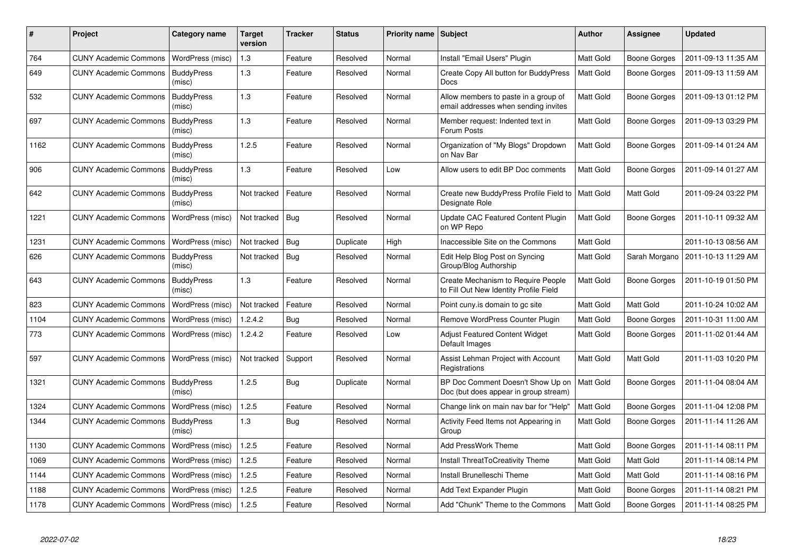| #    | <b>Project</b>               | Category name               | <b>Target</b><br>version | Tracker    | <b>Status</b> | <b>Priority name   Subject</b> |                                                                              | <b>Author</b>    | Assignee            | <b>Updated</b>      |
|------|------------------------------|-----------------------------|--------------------------|------------|---------------|--------------------------------|------------------------------------------------------------------------------|------------------|---------------------|---------------------|
| 764  | <b>CUNY Academic Commons</b> | WordPress (misc)            | $1.3$                    | Feature    | Resolved      | Normal                         | Install "Email Users" Plugin                                                 | Matt Gold        | Boone Gorges        | 2011-09-13 11:35 AM |
| 649  | <b>CUNY Academic Commons</b> | <b>BuddyPress</b><br>(misc) | 1.3                      | Feature    | Resolved      | Normal                         | Create Copy All button for BuddyPress<br><b>Docs</b>                         | <b>Matt Gold</b> | Boone Gorges        | 2011-09-13 11:59 AM |
| 532  | <b>CUNY Academic Commons</b> | <b>BuddyPress</b><br>(misc) | $1.3$                    | Feature    | Resolved      | Normal                         | Allow members to paste in a group of<br>email addresses when sending invites | Matt Gold        | Boone Gorges        | 2011-09-13 01:12 PM |
| 697  | <b>CUNY Academic Commons</b> | <b>BuddyPress</b><br>(misc) | 1.3                      | Feature    | Resolved      | Normal                         | Member request: Indented text in<br>Forum Posts                              | Matt Gold        | <b>Boone Gorges</b> | 2011-09-13 03:29 PM |
| 1162 | <b>CUNY Academic Commons</b> | <b>BuddyPress</b><br>(misc) | 1.2.5                    | Feature    | Resolved      | Normal                         | Organization of "My Blogs" Dropdown<br>on Nav Bar                            | Matt Gold        | <b>Boone Gorges</b> | 2011-09-14 01:24 AM |
| 906  | <b>CUNY Academic Commons</b> | <b>BuddyPress</b><br>(misc) | 1.3                      | Feature    | Resolved      | Low                            | Allow users to edit BP Doc comments                                          | Matt Gold        | <b>Boone Gorges</b> | 2011-09-14 01:27 AM |
| 642  | <b>CUNY Academic Commons</b> | <b>BuddyPress</b><br>(misc) | Not tracked              | Feature    | Resolved      | Normal                         | Create new BuddyPress Profile Field to<br>Designate Role                     | <b>Matt Gold</b> | Matt Gold           | 2011-09-24 03:22 PM |
| 1221 | <b>CUNY Academic Commons</b> | WordPress (misc)            | Not tracked              | Bug        | Resolved      | Normal                         | Update CAC Featured Content Plugin<br>on WP Repo                             | <b>Matt Gold</b> | Boone Gorges        | 2011-10-11 09:32 AM |
| 1231 | <b>CUNY Academic Commons</b> | WordPress (misc)            | Not tracked   Bug        |            | Duplicate     | High                           | Inaccessible Site on the Commons                                             | Matt Gold        |                     | 2011-10-13 08:56 AM |
| 626  | <b>CUNY Academic Commons</b> | <b>BuddyPress</b><br>(misc) | Not tracked              | Bug        | Resolved      | Normal                         | Edit Help Blog Post on Syncing<br>Group/Blog Authorship                      | <b>Matt Gold</b> | Sarah Morgano       | 2011-10-13 11:29 AM |
| 643  | <b>CUNY Academic Commons</b> | <b>BuddyPress</b><br>(misc) | 1.3                      | Feature    | Resolved      | Normal                         | Create Mechanism to Require People<br>to Fill Out New Identity Profile Field | <b>Matt Gold</b> | <b>Boone Gorges</b> | 2011-10-19 01:50 PM |
| 823  | <b>CUNY Academic Commons</b> | WordPress (misc)            | Not tracked              | Feature    | Resolved      | Normal                         | Point cuny is domain to go site                                              | Matt Gold        | Matt Gold           | 2011-10-24 10:02 AM |
| 1104 | <b>CUNY Academic Commons</b> | WordPress (misc)            | 1.2.4.2                  | <b>Bug</b> | Resolved      | Normal                         | Remove WordPress Counter Plugin                                              | Matt Gold        | <b>Boone Gorges</b> | 2011-10-31 11:00 AM |
| 773  | <b>CUNY Academic Commons</b> | WordPress (misc)            | 1.2.4.2                  | Feature    | Resolved      | Low                            | <b>Adjust Featured Content Widget</b><br>Default Images                      | Matt Gold        | <b>Boone Gorges</b> | 2011-11-02 01:44 AM |
| 597  | <b>CUNY Academic Commons</b> | WordPress (misc)            | Not tracked              | Support    | Resolved      | Normal                         | Assist Lehman Project with Account<br>Registrations                          | Matt Gold        | Matt Gold           | 2011-11-03 10:20 PM |
| 1321 | <b>CUNY Academic Commons</b> | <b>BuddyPress</b><br>(misc) | 1.2.5                    | Bug        | Duplicate     | Normal                         | BP Doc Comment Doesn't Show Up on<br>Doc (but does appear in group stream)   | Matt Gold        | Boone Gorges        | 2011-11-04 08:04 AM |
| 1324 | <b>CUNY Academic Commons</b> | WordPress (misc)            | 1.2.5                    | Feature    | Resolved      | Normal                         | Change link on main nav bar for "Help"                                       | Matt Gold        | <b>Boone Gorges</b> | 2011-11-04 12:08 PM |
| 1344 | <b>CUNY Academic Commons</b> | <b>BuddyPress</b><br>(misc) | 1.3                      | <b>Bug</b> | Resolved      | Normal                         | Activity Feed Items not Appearing in<br>Group                                | <b>Matt Gold</b> | Boone Gorges        | 2011-11-14 11:26 AM |
| 1130 | <b>CUNY Academic Commons</b> | WordPress (misc)            | 1.2.5                    | Feature    | Resolved      | Normal                         | Add PressWork Theme                                                          | Matt Gold        | <b>Boone Gorges</b> | 2011-11-14 08:11 PM |
| 1069 | <b>CUNY Academic Commons</b> | WordPress (misc)            | 1.2.5                    | Feature    | Resolved      | Normal                         | Install ThreatToCreativity Theme                                             | Matt Gold        | Matt Gold           | 2011-11-14 08:14 PM |
| 1144 | <b>CUNY Academic Commons</b> | WordPress (misc)            | 1.2.5                    | Feature    | Resolved      | Normal                         | Install Brunelleschi Theme                                                   | Matt Gold        | Matt Gold           | 2011-11-14 08:16 PM |
| 1188 | <b>CUNY Academic Commons</b> | WordPress (misc)            | 1.2.5                    | Feature    | Resolved      | Normal                         | Add Text Expander Plugin                                                     | Matt Gold        | Boone Gorges        | 2011-11-14 08:21 PM |
| 1178 | <b>CUNY Academic Commons</b> | WordPress (misc)            | 1.2.5                    | Feature    | Resolved      | Normal                         | Add "Chunk" Theme to the Commons                                             | <b>Matt Gold</b> | Boone Gorges        | 2011-11-14 08:25 PM |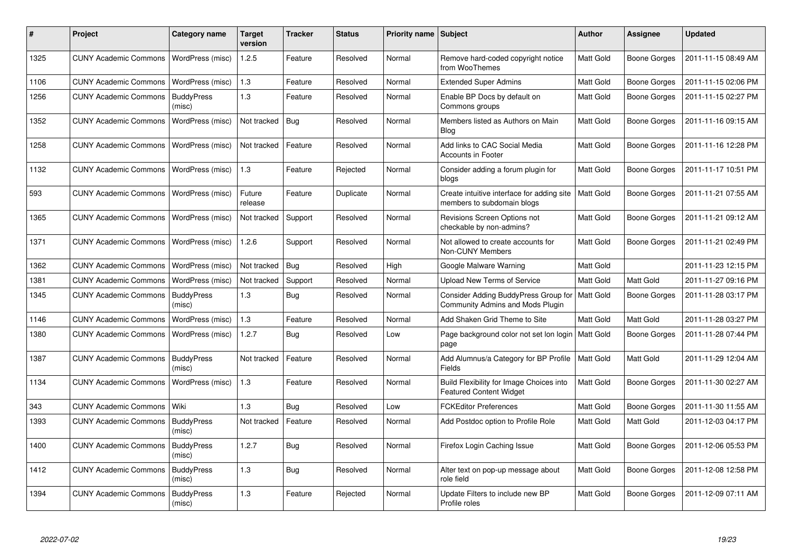| ∦    | <b>Project</b>               | Category name               | <b>Target</b><br>version | Tracker    | <b>Status</b> | Priority name Subject |                                                                            | <b>Author</b>    | <b>Assignee</b>     | <b>Updated</b>      |
|------|------------------------------|-----------------------------|--------------------------|------------|---------------|-----------------------|----------------------------------------------------------------------------|------------------|---------------------|---------------------|
| 1325 | <b>CUNY Academic Commons</b> | WordPress (misc)            | 1.2.5                    | Feature    | Resolved      | Normal                | Remove hard-coded copyright notice<br>from WooThemes                       | <b>Matt Gold</b> | <b>Boone Gorges</b> | 2011-11-15 08:49 AM |
| 1106 | <b>CUNY Academic Commons</b> | WordPress (misc)            | 1.3                      | Feature    | Resolved      | Normal                | <b>Extended Super Admins</b>                                               | <b>Matt Gold</b> | Boone Gorges        | 2011-11-15 02:06 PM |
| 1256 | <b>CUNY Academic Commons</b> | <b>BuddyPress</b><br>(misc) | 1.3                      | Feature    | Resolved      | Normal                | Enable BP Docs by default on<br>Commons groups                             | <b>Matt Gold</b> | Boone Gorges        | 2011-11-15 02:27 PM |
| 1352 | <b>CUNY Academic Commons</b> | WordPress (misc)            | Not tracked              | Bug        | Resolved      | Normal                | Members listed as Authors on Main<br><b>Blog</b>                           | <b>Matt Gold</b> | Boone Gorges        | 2011-11-16 09:15 AM |
| 1258 | <b>CUNY Academic Commons</b> | WordPress (misc)            | Not tracked              | Feature    | Resolved      | Normal                | Add links to CAC Social Media<br><b>Accounts in Footer</b>                 | <b>Matt Gold</b> | <b>Boone Gorges</b> | 2011-11-16 12:28 PM |
| 1132 | <b>CUNY Academic Commons</b> | WordPress (misc)            | 1.3                      | Feature    | Rejected      | Normal                | Consider adding a forum plugin for<br>blogs                                | <b>Matt Gold</b> | Boone Gorges        | 2011-11-17 10:51 PM |
| 593  | <b>CUNY Academic Commons</b> | WordPress (misc)            | Future<br>release        | Feature    | Duplicate     | Normal                | Create intuitive interface for adding site<br>members to subdomain blogs   | Matt Gold        | <b>Boone Gorges</b> | 2011-11-21 07:55 AM |
| 1365 | <b>CUNY Academic Commons</b> | WordPress (misc)            | Not tracked              | Support    | Resolved      | Normal                | Revisions Screen Options not<br>checkable by non-admins?                   | <b>Matt Gold</b> | <b>Boone Gorges</b> | 2011-11-21 09:12 AM |
| 1371 | <b>CUNY Academic Commons</b> | WordPress (misc)            | 1.2.6                    | Support    | Resolved      | Normal                | Not allowed to create accounts for<br>Non-CUNY Members                     | <b>Matt Gold</b> | <b>Boone Gorges</b> | 2011-11-21 02:49 PM |
| 1362 | <b>CUNY Academic Commons</b> | WordPress (misc)            | Not tracked              | Bug        | Resolved      | High                  | Google Malware Warning                                                     | <b>Matt Gold</b> |                     | 2011-11-23 12:15 PM |
| 1381 | <b>CUNY Academic Commons</b> | WordPress (misc)            | Not tracked              | Support    | Resolved      | Normal                | <b>Upload New Terms of Service</b>                                         | <b>Matt Gold</b> | <b>Matt Gold</b>    | 2011-11-27 09:16 PM |
| 1345 | <b>CUNY Academic Commons</b> | <b>BuddyPress</b><br>(misc) | 1.3                      | Bug        | Resolved      | Normal                | Consider Adding BuddyPress Group for<br>Community Admins and Mods Plugin   | <b>Matt Gold</b> | Boone Gorges        | 2011-11-28 03:17 PM |
| 1146 | <b>CUNY Academic Commons</b> | WordPress (misc)            | 1.3                      | Feature    | Resolved      | Normal                | Add Shaken Grid Theme to Site                                              | <b>Matt Gold</b> | Matt Gold           | 2011-11-28 03:27 PM |
| 1380 | <b>CUNY Academic Commons</b> | WordPress (misc)            | 1.2.7                    | Bug        | Resolved      | Low                   | Page background color not set lon login<br>page                            | Matt Gold        | <b>Boone Gorges</b> | 2011-11-28 07:44 PM |
| 1387 | <b>CUNY Academic Commons</b> | <b>BuddyPress</b><br>(misc) | Not tracked              | Feature    | Resolved      | Normal                | Add Alumnus/a Category for BP Profile<br>Fields                            | Matt Gold        | Matt Gold           | 2011-11-29 12:04 AM |
| 1134 | <b>CUNY Academic Commons</b> | WordPress (misc)            | 1.3                      | Feature    | Resolved      | Normal                | Build Flexibility for Image Choices into<br><b>Featured Content Widget</b> | <b>Matt Gold</b> | Boone Gorges        | 2011-11-30 02:27 AM |
| 343  | <b>CUNY Academic Commons</b> | Wiki                        | 1.3                      | Bug        | Resolved      | Low                   | <b>FCKEditor Preferences</b>                                               | Matt Gold        | Boone Gorges        | 2011-11-30 11:55 AM |
| 1393 | <b>CUNY Academic Commons</b> | <b>BuddyPress</b><br>(misc) | Not tracked              | Feature    | Resolved      | Normal                | Add Postdoc option to Profile Role                                         | <b>Matt Gold</b> | Matt Gold           | 2011-12-03 04:17 PM |
| 1400 | <b>CUNY Academic Commons</b> | <b>BuddyPress</b><br>(misc) | 1.2.7                    | <b>Bug</b> | Resolved      | Normal                | Firefox Login Caching Issue                                                | <b>Matt Gold</b> | <b>Boone Gorges</b> | 2011-12-06 05:53 PM |
| 1412 | <b>CUNY Academic Commons</b> | <b>BuddyPress</b><br>(misc) | 1.3                      | <b>Bug</b> | Resolved      | Normal                | Alter text on pop-up message about<br>role field                           | <b>Matt Gold</b> | <b>Boone Gorges</b> | 2011-12-08 12:58 PM |
| 1394 | <b>CUNY Academic Commons</b> | <b>BuddyPress</b><br>(misc) | 1.3                      | Feature    | Rejected      | Normal                | Update Filters to include new BP<br>Profile roles                          | <b>Matt Gold</b> | <b>Boone Gorges</b> | 2011-12-09 07:11 AM |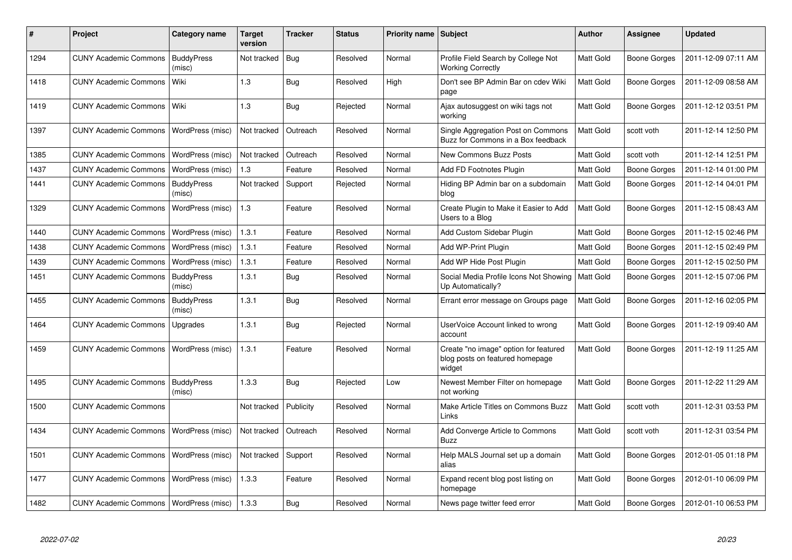| #    | Project                                  | Category name               | <b>Target</b><br>version | <b>Tracker</b> | <b>Status</b> | Priority name Subject |                                                                                    | Author           | <b>Assignee</b>     | <b>Updated</b>      |
|------|------------------------------------------|-----------------------------|--------------------------|----------------|---------------|-----------------------|------------------------------------------------------------------------------------|------------------|---------------------|---------------------|
| 1294 | <b>CUNY Academic Commons</b>             | <b>BuddyPress</b><br>(misc) | Not tracked              | Bug            | Resolved      | Normal                | Profile Field Search by College Not<br><b>Working Correctly</b>                    | Matt Gold        | Boone Gorges        | 2011-12-09 07:11 AM |
| 1418 | <b>CUNY Academic Commons</b>             | Wiki                        | 1.3                      | Bug            | Resolved      | High                  | Don't see BP Admin Bar on cdev Wiki<br>page                                        | Matt Gold        | Boone Gorges        | 2011-12-09 08:58 AM |
| 1419 | <b>CUNY Academic Commons</b>             | Wiki                        | 1.3                      | <b>Bug</b>     | Rejected      | Normal                | Ajax autosuggest on wiki tags not<br>working                                       | Matt Gold        | Boone Gorges        | 2011-12-12 03:51 PM |
| 1397 | <b>CUNY Academic Commons</b>             | WordPress (misc)            | Not tracked              | Outreach       | Resolved      | Normal                | Single Aggregation Post on Commons<br>Buzz for Commons in a Box feedback           | Matt Gold        | scott voth          | 2011-12-14 12:50 PM |
| 1385 | <b>CUNY Academic Commons</b>             | WordPress (misc)            | Not tracked              | Outreach       | Resolved      | Normal                | <b>New Commons Buzz Posts</b>                                                      | <b>Matt Gold</b> | scott voth          | 2011-12-14 12:51 PM |
| 1437 | <b>CUNY Academic Commons</b>             | WordPress (misc)            | 1.3                      | Feature        | Resolved      | Normal                | Add FD Footnotes Plugin                                                            | Matt Gold        | Boone Gorges        | 2011-12-14 01:00 PM |
| 1441 | <b>CUNY Academic Commons</b>             | <b>BuddyPress</b><br>(misc) | Not tracked              | Support        | Rejected      | Normal                | Hiding BP Admin bar on a subdomain<br>blog                                         | Matt Gold        | Boone Gorges        | 2011-12-14 04:01 PM |
| 1329 | <b>CUNY Academic Commons</b>             | WordPress (misc)            | 1.3                      | Feature        | Resolved      | Normal                | Create Plugin to Make it Easier to Add<br>Users to a Blog                          | Matt Gold        | Boone Gorges        | 2011-12-15 08:43 AM |
| 1440 | <b>CUNY Academic Commons</b>             | WordPress (misc)            | 1.3.1                    | Feature        | Resolved      | Normal                | Add Custom Sidebar Plugin                                                          | <b>Matt Gold</b> | Boone Gorges        | 2011-12-15 02:46 PM |
| 1438 | <b>CUNY Academic Commons</b>             | WordPress (misc)            | 1.3.1                    | Feature        | Resolved      | Normal                | Add WP-Print Plugin                                                                | Matt Gold        | Boone Gorges        | 2011-12-15 02:49 PM |
| 1439 | <b>CUNY Academic Commons</b>             | WordPress (misc)            | 1.3.1                    | Feature        | Resolved      | Normal                | Add WP Hide Post Plugin                                                            | Matt Gold        | <b>Boone Gorges</b> | 2011-12-15 02:50 PM |
| 1451 | <b>CUNY Academic Commons</b>             | <b>BuddyPress</b><br>(misc) | 1.3.1                    | <b>Bug</b>     | Resolved      | Normal                | Social Media Profile Icons Not Showing<br>Up Automatically?                        | Matt Gold        | Boone Gorges        | 2011-12-15 07:06 PM |
| 1455 | <b>CUNY Academic Commons</b>             | <b>BuddyPress</b><br>(misc) | 1.3.1                    | <b>Bug</b>     | Resolved      | Normal                | Errant error message on Groups page                                                | Matt Gold        | Boone Gorges        | 2011-12-16 02:05 PM |
| 1464 | <b>CUNY Academic Commons</b>             | Upgrades                    | 1.3.1                    | Bug            | Rejected      | Normal                | UserVoice Account linked to wrong<br>account                                       | Matt Gold        | Boone Gorges        | 2011-12-19 09:40 AM |
| 1459 | <b>CUNY Academic Commons</b>             | WordPress (misc)            | 1.3.1                    | Feature        | Resolved      | Normal                | Create "no image" option for featured<br>blog posts on featured homepage<br>widget | <b>Matt Gold</b> | Boone Gorges        | 2011-12-19 11:25 AM |
| 1495 | <b>CUNY Academic Commons</b>             | <b>BuddyPress</b><br>(misc) | 1.3.3                    | Bug            | Rejected      | Low                   | Newest Member Filter on homepage<br>not working                                    | <b>Matt Gold</b> | Boone Gorges        | 2011-12-22 11:29 AM |
| 1500 | <b>CUNY Academic Commons</b>             |                             | Not tracked              | Publicity      | Resolved      | Normal                | Make Article Titles on Commons Buzz<br>Links                                       | <b>Matt Gold</b> | scott voth          | 2011-12-31 03:53 PM |
| 1434 | <b>CUNY Academic Commons</b>             | WordPress (misc)            | Not tracked              | Outreach       | Resolved      | Normal                | Add Converge Article to Commons<br><b>Buzz</b>                                     | <b>Matt Gold</b> | scott voth          | 2011-12-31 03:54 PM |
| 1501 | <b>CUNY Academic Commons</b>             | WordPress (misc)            | Not tracked              | Support        | Resolved      | Normal                | Help MALS Journal set up a domain<br>alias                                         | Matt Gold        | Boone Gorges        | 2012-01-05 01:18 PM |
| 1477 | <b>CUNY Academic Commons</b>             | WordPress (misc)            | 1.3.3                    | Feature        | Resolved      | Normal                | Expand recent blog post listing on<br>homepage                                     | <b>Matt Gold</b> | Boone Gorges        | 2012-01-10 06:09 PM |
| 1482 | CUNY Academic Commons   WordPress (misc) |                             | 1.3.3                    | Bug            | Resolved      | Normal                | News page twitter feed error                                                       | Matt Gold        | Boone Gorges        | 2012-01-10 06:53 PM |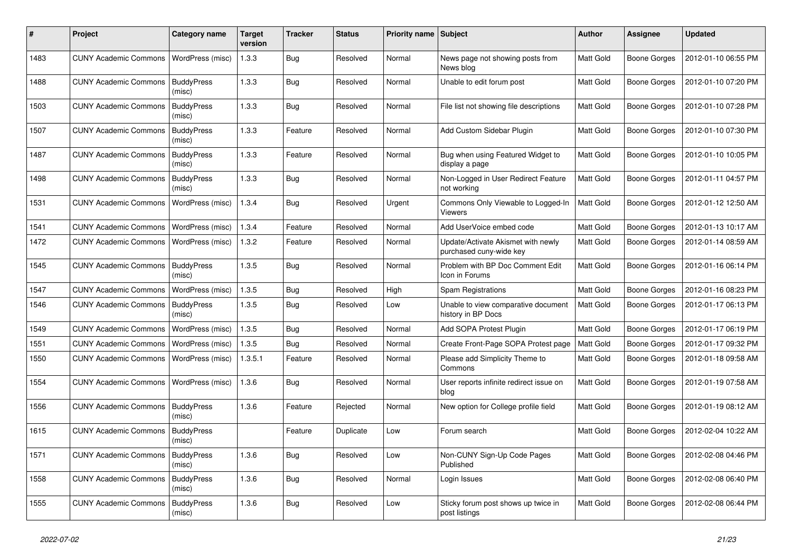| #    | Project                      | Category name               | <b>Target</b><br>version | Tracker    | <b>Status</b> | <b>Priority name</b> | Subject                                                       | Author           | <b>Assignee</b>     | <b>Updated</b>      |
|------|------------------------------|-----------------------------|--------------------------|------------|---------------|----------------------|---------------------------------------------------------------|------------------|---------------------|---------------------|
| 1483 | <b>CUNY Academic Commons</b> | WordPress (misc)            | 1.3.3                    | Bug        | Resolved      | Normal               | News page not showing posts from<br>News blog                 | Matt Gold        | Boone Gorges        | 2012-01-10 06:55 PM |
| 1488 | <b>CUNY Academic Commons</b> | <b>BuddyPress</b><br>(misc) | 1.3.3                    | Bug        | Resolved      | Normal               | Unable to edit forum post                                     | Matt Gold        | Boone Gorges        | 2012-01-10 07:20 PM |
| 1503 | <b>CUNY Academic Commons</b> | <b>BuddyPress</b><br>(misc) | 1.3.3                    | <b>Bug</b> | Resolved      | Normal               | File list not showing file descriptions                       | Matt Gold        | <b>Boone Gorges</b> | 2012-01-10 07:28 PM |
| 1507 | <b>CUNY Academic Commons</b> | <b>BuddyPress</b><br>(misc) | 1.3.3                    | Feature    | Resolved      | Normal               | Add Custom Sidebar Plugin                                     | Matt Gold        | <b>Boone Gorges</b> | 2012-01-10 07:30 PM |
| 1487 | <b>CUNY Academic Commons</b> | <b>BuddyPress</b><br>(misc) | 1.3.3                    | Feature    | Resolved      | Normal               | Bug when using Featured Widget to<br>display a page           | Matt Gold        | Boone Gorges        | 2012-01-10 10:05 PM |
| 1498 | <b>CUNY Academic Commons</b> | <b>BuddyPress</b><br>(misc) | 1.3.3                    | Bug        | Resolved      | Normal               | Non-Logged in User Redirect Feature<br>not working            | Matt Gold        | <b>Boone Gorges</b> | 2012-01-11 04:57 PM |
| 1531 | <b>CUNY Academic Commons</b> | WordPress (misc)            | 1.3.4                    | Bug        | Resolved      | Urgent               | Commons Only Viewable to Logged-In<br><b>Viewers</b>          | Matt Gold        | <b>Boone Gorges</b> | 2012-01-12 12:50 AM |
| 1541 | <b>CUNY Academic Commons</b> | WordPress (misc)            | 1.3.4                    | Feature    | Resolved      | Normal               | Add UserVoice embed code                                      | Matt Gold        | Boone Gorges        | 2012-01-13 10:17 AM |
| 1472 | <b>CUNY Academic Commons</b> | WordPress (misc)            | 1.3.2                    | Feature    | Resolved      | Normal               | Update/Activate Akismet with newly<br>purchased cuny-wide key | Matt Gold        | <b>Boone Gorges</b> | 2012-01-14 08:59 AM |
| 1545 | <b>CUNY Academic Commons</b> | <b>BuddyPress</b><br>(misc) | 1.3.5                    | <b>Bug</b> | Resolved      | Normal               | Problem with BP Doc Comment Edit<br>Icon in Forums            | Matt Gold        | Boone Gorges        | 2012-01-16 06:14 PM |
| 1547 | <b>CUNY Academic Commons</b> | WordPress (misc)            | 1.3.5                    | Bug        | Resolved      | High                 | Spam Registrations                                            | Matt Gold        | Boone Gorges        | 2012-01-16 08:23 PM |
| 1546 | <b>CUNY Academic Commons</b> | <b>BuddyPress</b><br>(misc) | 1.3.5                    | Bug        | Resolved      | Low                  | Unable to view comparative document<br>history in BP Docs     | Matt Gold        | <b>Boone Gorges</b> | 2012-01-17 06:13 PM |
| 1549 | <b>CUNY Academic Commons</b> | WordPress (misc)            | 1.3.5                    | Bug        | Resolved      | Normal               | Add SOPA Protest Plugin                                       | <b>Matt Gold</b> | <b>Boone Gorges</b> | 2012-01-17 06:19 PM |
| 1551 | <b>CUNY Academic Commons</b> | WordPress (misc)            | 1.3.5                    | Bug        | Resolved      | Normal               | Create Front-Page SOPA Protest page                           | Matt Gold        | <b>Boone Gorges</b> | 2012-01-17 09:32 PM |
| 1550 | <b>CUNY Academic Commons</b> | WordPress (misc)            | 1.3.5.1                  | Feature    | Resolved      | Normal               | Please add Simplicity Theme to<br>Commons                     | Matt Gold        | <b>Boone Gorges</b> | 2012-01-18 09:58 AM |
| 1554 | <b>CUNY Academic Commons</b> | WordPress (misc)            | 1.3.6                    | <b>Bug</b> | Resolved      | Normal               | User reports infinite redirect issue on<br>blog               | Matt Gold        | Boone Gorges        | 2012-01-19 07:58 AM |
| 1556 | <b>CUNY Academic Commons</b> | <b>BuddyPress</b><br>(misc) | 1.3.6                    | Feature    | Rejected      | Normal               | New option for College profile field                          | Matt Gold        | Boone Gorges        | 2012-01-19 08:12 AM |
| 1615 | <b>CUNY Academic Commons</b> | <b>BuddyPress</b><br>(misc) |                          | Feature    | Duplicate     | Low                  | Forum search                                                  | Matt Gold        | Boone Gorges        | 2012-02-04 10:22 AM |
| 1571 | <b>CUNY Academic Commons</b> | <b>BuddyPress</b><br>(misc) | 1.3.6                    | <b>Bug</b> | Resolved      | Low                  | Non-CUNY Sign-Up Code Pages<br>Published                      | Matt Gold        | <b>Boone Gorges</b> | 2012-02-08 04:46 PM |
| 1558 | <b>CUNY Academic Commons</b> | <b>BuddyPress</b><br>(misc) | 1.3.6                    | Bug        | Resolved      | Normal               | Login Issues                                                  | Matt Gold        | <b>Boone Gorges</b> | 2012-02-08 06:40 PM |
| 1555 | <b>CUNY Academic Commons</b> | <b>BuddyPress</b><br>(misc) | 1.3.6                    | Bug        | Resolved      | Low                  | Sticky forum post shows up twice in<br>post listings          | Matt Gold        | <b>Boone Gorges</b> | 2012-02-08 06:44 PM |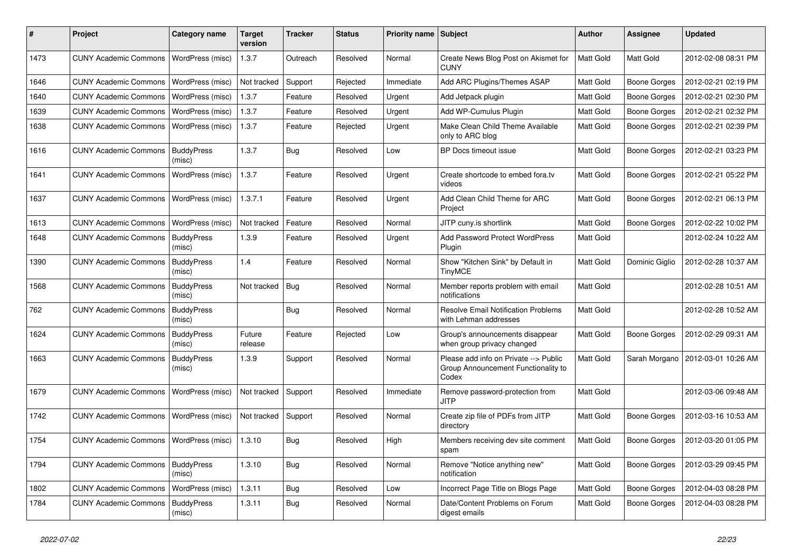| $\#$ | Project                                  | Category name               | Target<br>version | <b>Tracker</b> | <b>Status</b> | Priority name Subject |                                                                                       | <b>Author</b>    | <b>Assignee</b>     | <b>Updated</b>      |
|------|------------------------------------------|-----------------------------|-------------------|----------------|---------------|-----------------------|---------------------------------------------------------------------------------------|------------------|---------------------|---------------------|
| 1473 | <b>CUNY Academic Commons</b>             | WordPress (misc)            | 1.3.7             | Outreach       | Resolved      | Normal                | Create News Blog Post on Akismet for<br><b>CUNY</b>                                   | Matt Gold        | Matt Gold           | 2012-02-08 08:31 PM |
| 1646 | <b>CUNY Academic Commons</b>             | WordPress (misc)            | Not tracked       | Support        | Rejected      | Immediate             | Add ARC Plugins/Themes ASAP                                                           | Matt Gold        | <b>Boone Gorges</b> | 2012-02-21 02:19 PM |
| 1640 | <b>CUNY Academic Commons</b>             | WordPress (misc)            | 1.3.7             | Feature        | Resolved      | Urgent                | Add Jetpack plugin                                                                    | Matt Gold        | <b>Boone Gorges</b> | 2012-02-21 02:30 PM |
| 1639 | <b>CUNY Academic Commons</b>             | WordPress (misc)            | 1.3.7             | Feature        | Resolved      | Urgent                | Add WP-Cumulus Plugin                                                                 | Matt Gold        | <b>Boone Gorges</b> | 2012-02-21 02:32 PM |
| 1638 | <b>CUNY Academic Commons</b>             | WordPress (misc)            | 1.3.7             | Feature        | Rejected      | Urgent                | Make Clean Child Theme Available<br>only to ARC blog                                  | Matt Gold        | <b>Boone Gorges</b> | 2012-02-21 02:39 PM |
| 1616 | <b>CUNY Academic Commons</b>             | <b>BuddyPress</b><br>(misc) | 1.3.7             | <b>Bug</b>     | Resolved      | Low                   | BP Docs timeout issue                                                                 | Matt Gold        | <b>Boone Gorges</b> | 2012-02-21 03:23 PM |
| 1641 | <b>CUNY Academic Commons</b>             | WordPress (misc)            | 1.3.7             | Feature        | Resolved      | Urgent                | Create shortcode to embed fora.tv<br>videos                                           | Matt Gold        | <b>Boone Gorges</b> | 2012-02-21 05:22 PM |
| 1637 | <b>CUNY Academic Commons</b>             | WordPress (misc)            | 1.3.7.1           | Feature        | Resolved      | Urgent                | Add Clean Child Theme for ARC<br>Project                                              | Matt Gold        | <b>Boone Gorges</b> | 2012-02-21 06:13 PM |
| 1613 | <b>CUNY Academic Commons</b>             | WordPress (misc)            | Not tracked       | Feature        | Resolved      | Normal                | JITP cuny.is shortlink                                                                | Matt Gold        | <b>Boone Gorges</b> | 2012-02-22 10:02 PM |
| 1648 | <b>CUNY Academic Commons</b>             | <b>BuddyPress</b><br>(misc) | 1.3.9             | Feature        | Resolved      | Urgent                | Add Password Protect WordPress<br>Plugin                                              | Matt Gold        |                     | 2012-02-24 10:22 AM |
| 1390 | <b>CUNY Academic Commons</b>             | <b>BuddyPress</b><br>(misc) | 1.4               | Feature        | Resolved      | Normal                | Show "Kitchen Sink" by Default in<br><b>TinyMCE</b>                                   | Matt Gold        | Dominic Giglio      | 2012-02-28 10:37 AM |
| 1568 | <b>CUNY Academic Commons</b>             | <b>BuddyPress</b><br>(misc) | Not tracked       | Bug            | Resolved      | Normal                | Member reports problem with email<br>notifications                                    | Matt Gold        |                     | 2012-02-28 10:51 AM |
| 762  | <b>CUNY Academic Commons</b>             | <b>BuddyPress</b><br>(misc) |                   | <b>Bug</b>     | Resolved      | Normal                | <b>Resolve Email Notification Problems</b><br>with Lehman addresses                   | <b>Matt Gold</b> |                     | 2012-02-28 10:52 AM |
| 1624 | <b>CUNY Academic Commons</b>             | <b>BuddyPress</b><br>(misc) | Future<br>release | Feature        | Rejected      | Low                   | Group's announcements disappear<br>when group privacy changed                         | Matt Gold        | <b>Boone Gorges</b> | 2012-02-29 09:31 AM |
| 1663 | <b>CUNY Academic Commons</b>             | <b>BuddyPress</b><br>(misc) | 1.3.9             | Support        | Resolved      | Normal                | Please add info on Private --> Public<br>Group Announcement Functionality to<br>Codex | Matt Gold        | Sarah Morgano       | 2012-03-01 10:26 AM |
| 1679 | <b>CUNY Academic Commons</b>             | WordPress (misc)            | Not tracked       | Support        | Resolved      | Immediate             | Remove password-protection from<br><b>JITP</b>                                        | <b>Matt Gold</b> |                     | 2012-03-06 09:48 AM |
| 1742 | <b>CUNY Academic Commons</b>             | WordPress (misc)            | Not tracked       | Support        | Resolved      | Normal                | Create zip file of PDFs from JITP<br>directory                                        | Matt Gold        | <b>Boone Gorges</b> | 2012-03-16 10:53 AM |
| 1754 | CUNY Academic Commons   WordPress (misc) |                             | 1.3.10            | Bug            | Resolved      | High                  | Members receiving dev site comment<br>spam                                            | Matt Gold        | <b>Boone Gorges</b> | 2012-03-20 01:05 PM |
| 1794 | <b>CUNY Academic Commons</b>             | <b>BuddyPress</b><br>(misc) | 1.3.10            | <b>Bug</b>     | Resolved      | Normal                | Remove "Notice anything new"<br>notification                                          | Matt Gold        | <b>Boone Gorges</b> | 2012-03-29 09:45 PM |
| 1802 | <b>CUNY Academic Commons</b>             | WordPress (misc)            | 1.3.11            | Bug            | Resolved      | Low                   | Incorrect Page Title on Blogs Page                                                    | Matt Gold        | <b>Boone Gorges</b> | 2012-04-03 08:28 PM |
| 1784 | <b>CUNY Academic Commons</b>             | <b>BuddyPress</b><br>(misc) | 1.3.11            | <b>Bug</b>     | Resolved      | Normal                | Date/Content Problems on Forum<br>digest emails                                       | Matt Gold        | <b>Boone Gorges</b> | 2012-04-03 08:28 PM |